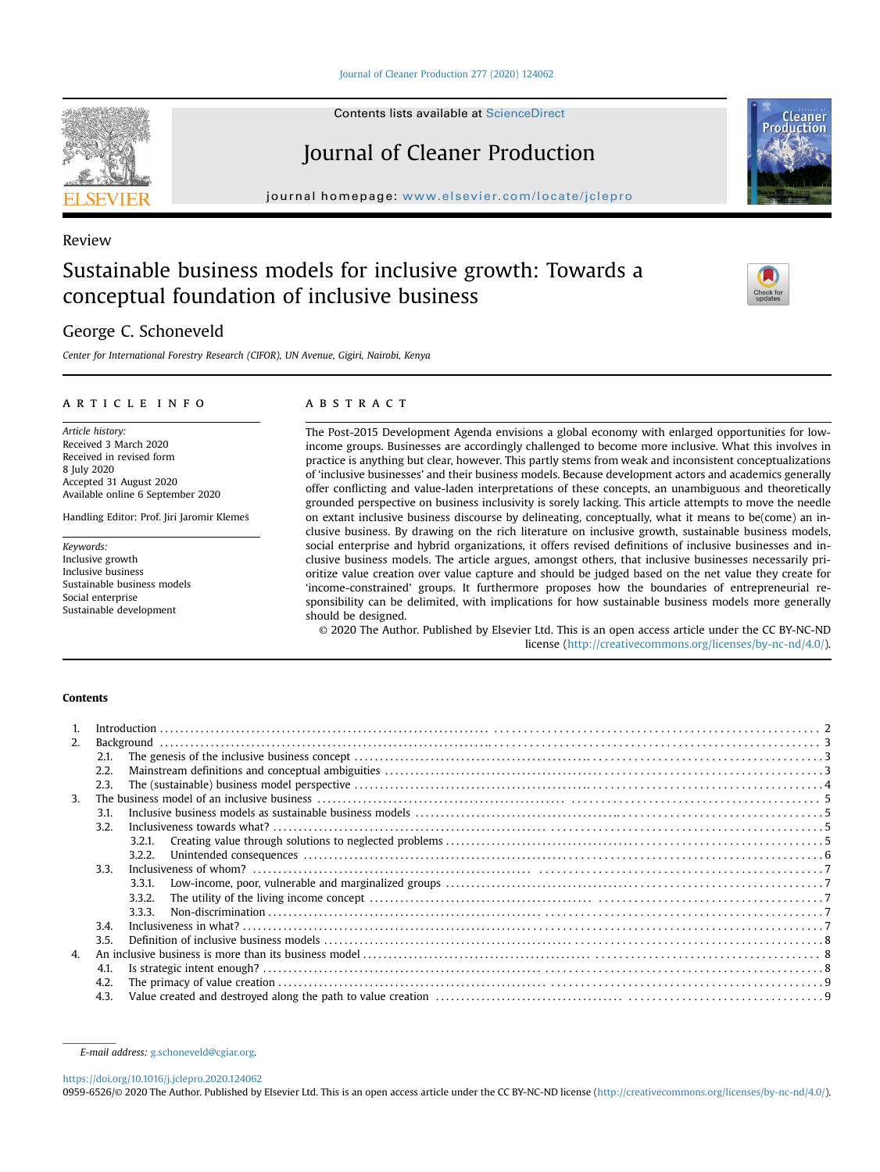[Journal of Cleaner Production 277 \(2020\) 124062](https://doi.org/10.1016/j.jclepro.2020.124062)

Contents lists available at ScienceDirect

# Journal of Cleaner Production

journal homepage: [www.elsevier.com/locate/jclepro](http://www.elsevier.com/locate/jclepro)

# Review

# Sustainable business models for inclusive growth: Towards a conceptual foundation of inclusive business

# George C. Schoneveld

Center for International Forestry Research (CIFOR), UN Avenue, Gigiri, Nairobi, Kenya

# article info

Article history: Received 3 March 2020 Received in revised form 8 July 2020 Accepted 31 August 2020 Available online 6 September 2020

Handling Editor: Prof. Jiri Jaromir Klemes

Keywords: Inclusive growth Inclusive business Sustainable business models Social enterprise Sustainable development

# **ABSTRACT**

The Post-2015 Development Agenda envisions a global economy with enlarged opportunities for lowincome groups. Businesses are accordingly challenged to become more inclusive. What this involves in practice is anything but clear, however. This partly stems from weak and inconsistent conceptualizations of 'inclusive businesses' and their business models. Because development actors and academics generally offer conflicting and value-laden interpretations of these concepts, an unambiguous and theoretically grounded perspective on business inclusivity is sorely lacking. This article attempts to move the needle on extant inclusive business discourse by delineating, conceptually, what it means to be(come) an inclusive business. By drawing on the rich literature on inclusive growth, sustainable business models, social enterprise and hybrid organizations, it offers revised definitions of inclusive businesses and inclusive business models. The article argues, amongst others, that inclusive businesses necessarily prioritize value creation over value capture and should be judged based on the net value they create for 'income-constrained' groups. It furthermore proposes how the boundaries of entrepreneurial responsibility can be delimited, with implications for how sustainable business models more generally should be designed.

© 2020 The Author. Published by Elsevier Ltd. This is an open access article under the CC BY-NC-ND license [\(http://creativecommons.org/licenses/by-nc-nd/4.0/](http://creativecommons.org/licenses/by-nc-nd/4.0/)).

# Contents

| 2.             |      |        |  |
|----------------|------|--------|--|
|                | 2.1. |        |  |
|                | 2.2. |        |  |
|                | 2.3. |        |  |
| 3 <sub>1</sub> |      |        |  |
|                | 3.1. |        |  |
|                | 3.2. |        |  |
|                |      | 3.2.1. |  |
|                |      | 3.2.2. |  |
|                | 3.3. |        |  |
|                |      | 3.3.1. |  |
|                |      | 3.3.2. |  |
|                |      | 3.3.3. |  |
|                | 3.4. |        |  |
|                | 3.5. |        |  |
| 4.<br>4.1.     |      |        |  |
|                |      |        |  |
|                | 4.2. |        |  |
|                | 4.3. |        |  |

<https://doi.org/10.1016/j.jclepro.2020.124062>

0959-6526/© 2020 The Author. Published by Elsevier Ltd. This is an open access article under the CC BY-NC-ND license ([http://creativecommons.org/licenses/by-nc-nd/4.0/\)](http://creativecommons.org/licenses/by-nc-nd/4.0/).







E-mail address: [g.schoneveld@cgiar.org](mailto:g.schoneveld@cgiar.org).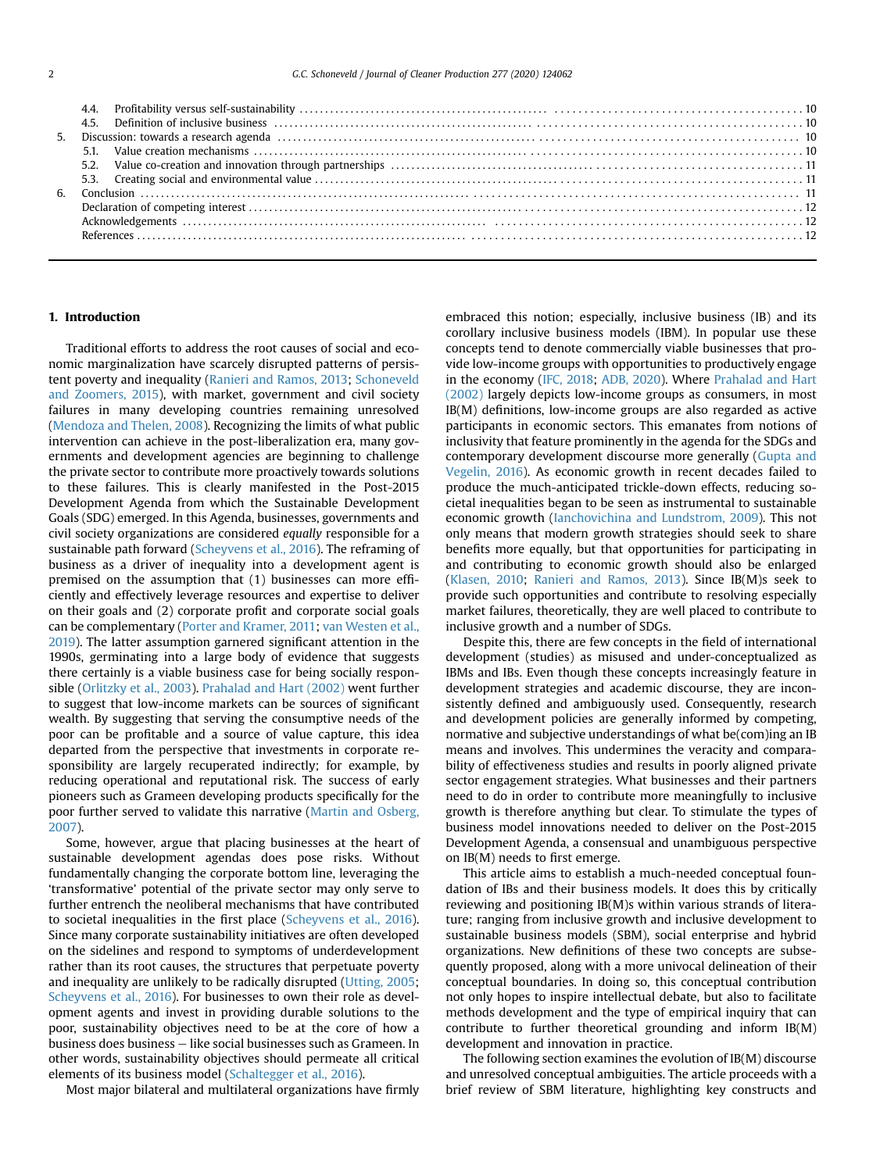| 4.5. Definition of inclusive business $\ldots$ , $\ldots$ , $\ldots$ , $\ldots$ , $\ldots$ , $\ldots$ , $\ldots$ , $\ldots$ , $\ldots$ , $\ldots$ , $\ldots$ , $\ldots$ , $\ldots$ , $\ldots$ , $\ldots$ , $\ldots$ , $\ldots$ , $\ldots$ , $\ldots$ , $\ldots$ |  |
|-----------------------------------------------------------------------------------------------------------------------------------------------------------------------------------------------------------------------------------------------------------------|--|
|                                                                                                                                                                                                                                                                 |  |
|                                                                                                                                                                                                                                                                 |  |
|                                                                                                                                                                                                                                                                 |  |
|                                                                                                                                                                                                                                                                 |  |
|                                                                                                                                                                                                                                                                 |  |
|                                                                                                                                                                                                                                                                 |  |
|                                                                                                                                                                                                                                                                 |  |
|                                                                                                                                                                                                                                                                 |  |
|                                                                                                                                                                                                                                                                 |  |

# 1. Introduction

Traditional efforts to address the root causes of social and economic marginalization have scarcely disrupted patterns of persistent poverty and inequality ([Ranieri and Ramos, 2013](#page-12-0); [Schoneveld](#page-12-1) [and Zoomers, 2015\)](#page-12-1), with market, government and civil society failures in many developing countries remaining unresolved ([Mendoza and Thelen, 2008\)](#page-12-2). Recognizing the limits of what public intervention can achieve in the post-liberalization era, many governments and development agencies are beginning to challenge the private sector to contribute more proactively towards solutions to these failures. This is clearly manifested in the Post-2015 Development Agenda from which the Sustainable Development Goals (SDG) emerged. In this Agenda, businesses, governments and civil society organizations are considered equally responsible for a sustainable path forward [\(Scheyvens et al., 2016\)](#page-12-3). The reframing of business as a driver of inequality into a development agent is premised on the assumption that (1) businesses can more efficiently and effectively leverage resources and expertise to deliver on their goals and (2) corporate profit and corporate social goals can be complementary [\(Porter and Kramer, 2011;](#page-12-4) [van Westen et al.,](#page-12-5) [2019](#page-12-5)). The latter assumption garnered significant attention in the 1990s, germinating into a large body of evidence that suggests there certainly is a viable business case for being socially responsible ([Orlitzky et al., 2003\)](#page-12-6). [Prahalad and Hart \(2002\)](#page-12-7) went further to suggest that low-income markets can be sources of significant wealth. By suggesting that serving the consumptive needs of the poor can be profitable and a source of value capture, this idea departed from the perspective that investments in corporate responsibility are largely recuperated indirectly; for example, by reducing operational and reputational risk. The success of early pioneers such as Grameen developing products specifically for the poor further served to validate this narrative [\(Martin and Osberg,](#page-11-0) [2007\)](#page-11-0).

Some, however, argue that placing businesses at the heart of sustainable development agendas does pose risks. Without fundamentally changing the corporate bottom line, leveraging the 'transformative' potential of the private sector may only serve to further entrench the neoliberal mechanisms that have contributed to societal inequalities in the first place ([Scheyvens et al., 2016\)](#page-12-3). Since many corporate sustainability initiatives are often developed on the sidelines and respond to symptoms of underdevelopment rather than its root causes, the structures that perpetuate poverty and inequality are unlikely to be radically disrupted ([Utting, 2005](#page-12-8); [Scheyvens et al., 2016](#page-12-3)). For businesses to own their role as development agents and invest in providing durable solutions to the poor, sustainability objectives need to be at the core of how a business does business e like social businesses such as Grameen. In other words, sustainability objectives should permeate all critical elements of its business model [\(Schaltegger et al., 2016](#page-12-9)).

Most major bilateral and multilateral organizations have firmly

embraced this notion; especially, inclusive business (IB) and its corollary inclusive business models (IBM). In popular use these concepts tend to denote commercially viable businesses that provide low-income groups with opportunities to productively engage in the economy [\(IFC, 2018;](#page-11-1) [ADB, 2020](#page-11-2)). Where [Prahalad and Hart](#page-12-7) [\(2002\)](#page-12-7) largely depicts low-income groups as consumers, in most IB(M) definitions, low-income groups are also regarded as active participants in economic sectors. This emanates from notions of inclusivity that feature prominently in the agenda for the SDGs and contemporary development discourse more generally ([Gupta and](#page-11-3) [Vegelin, 2016](#page-11-3)). As economic growth in recent decades failed to produce the much-anticipated trickle-down effects, reducing societal inequalities began to be seen as instrumental to sustainable economic growth ([Ianchovichina and Lundstrom, 2009](#page-11-4)). This not only means that modern growth strategies should seek to share benefits more equally, but that opportunities for participating in and contributing to economic growth should also be enlarged ([Klasen, 2010](#page-11-5); [Ranieri and Ramos, 2013](#page-12-0)). Since IB(M)s seek to provide such opportunities and contribute to resolving especially market failures, theoretically, they are well placed to contribute to inclusive growth and a number of SDGs.

Despite this, there are few concepts in the field of international development (studies) as misused and under-conceptualized as IBMs and IBs. Even though these concepts increasingly feature in development strategies and academic discourse, they are inconsistently defined and ambiguously used. Consequently, research and development policies are generally informed by competing, normative and subjective understandings of what be(com)ing an IB means and involves. This undermines the veracity and comparability of effectiveness studies and results in poorly aligned private sector engagement strategies. What businesses and their partners need to do in order to contribute more meaningfully to inclusive growth is therefore anything but clear. To stimulate the types of business model innovations needed to deliver on the Post-2015 Development Agenda, a consensual and unambiguous perspective on IB(M) needs to first emerge.

This article aims to establish a much-needed conceptual foundation of IBs and their business models. It does this by critically reviewing and positioning IB(M)s within various strands of literature; ranging from inclusive growth and inclusive development to sustainable business models (SBM), social enterprise and hybrid organizations. New definitions of these two concepts are subsequently proposed, along with a more univocal delineation of their conceptual boundaries. In doing so, this conceptual contribution not only hopes to inspire intellectual debate, but also to facilitate methods development and the type of empirical inquiry that can contribute to further theoretical grounding and inform IB(M) development and innovation in practice.

The following section examines the evolution of IB(M) discourse and unresolved conceptual ambiguities. The article proceeds with a brief review of SBM literature, highlighting key constructs and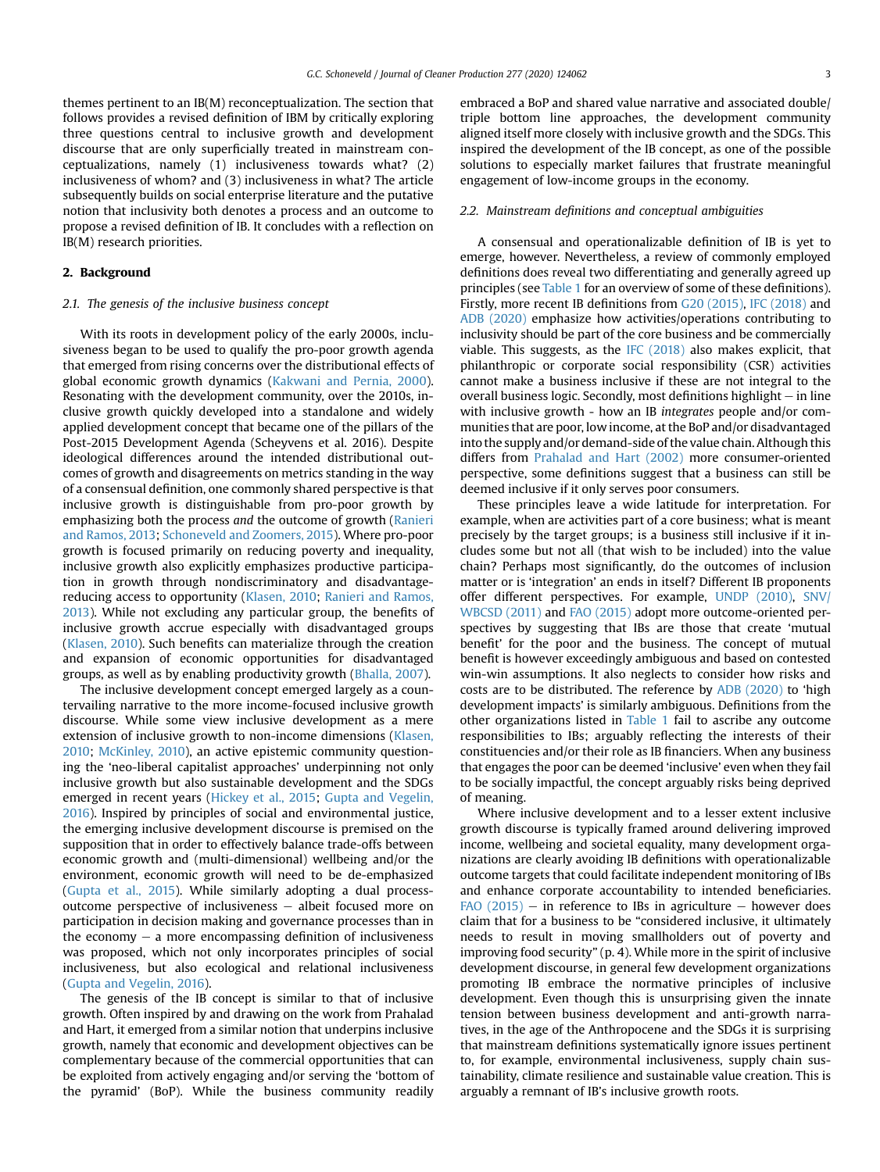themes pertinent to an IB(M) reconceptualization. The section that follows provides a revised definition of IBM by critically exploring three questions central to inclusive growth and development discourse that are only superficially treated in mainstream conceptualizations, namely (1) inclusiveness towards what? (2) inclusiveness of whom? and (3) inclusiveness in what? The article subsequently builds on social enterprise literature and the putative notion that inclusivity both denotes a process and an outcome to propose a revised definition of IB. It concludes with a reflection on IB(M) research priorities.

# 2. Background

#### 2.1. The genesis of the inclusive business concept

With its roots in development policy of the early 2000s, inclusiveness began to be used to qualify the pro-poor growth agenda that emerged from rising concerns over the distributional effects of global economic growth dynamics [\(Kakwani and Pernia, 2000\)](#page-11-6). Resonating with the development community, over the 2010s, inclusive growth quickly developed into a standalone and widely applied development concept that became one of the pillars of the Post-2015 Development Agenda (Scheyvens et al. 2016). Despite ideological differences around the intended distributional outcomes of growth and disagreements on metrics standing in the way of a consensual definition, one commonly shared perspective is that inclusive growth is distinguishable from pro-poor growth by emphasizing both the process and the outcome of growth ([Ranieri](#page-12-0) [and Ramos, 2013;](#page-12-0) [Schoneveld and Zoomers, 2015\)](#page-12-1). Where pro-poor growth is focused primarily on reducing poverty and inequality, inclusive growth also explicitly emphasizes productive participation in growth through nondiscriminatory and disadvantagereducing access to opportunity [\(Klasen, 2010](#page-11-5); [Ranieri and Ramos,](#page-12-0) [2013\)](#page-12-0). While not excluding any particular group, the benefits of inclusive growth accrue especially with disadvantaged groups ([Klasen, 2010](#page-11-5)). Such benefits can materialize through the creation and expansion of economic opportunities for disadvantaged groups, as well as by enabling productivity growth [\(Bhalla, 2007\)](#page-11-7).

The inclusive development concept emerged largely as a countervailing narrative to the more income-focused inclusive growth discourse. While some view inclusive development as a mere extension of inclusive growth to non-income dimensions ([Klasen,](#page-11-5) [2010;](#page-11-5) [McKinley, 2010](#page-11-8)), an active epistemic community questioning the 'neo-liberal capitalist approaches' underpinning not only inclusive growth but also sustainable development and the SDGs emerged in recent years ([Hickey et al., 2015;](#page-11-9) [Gupta and Vegelin,](#page-11-3) [2016\)](#page-11-3). Inspired by principles of social and environmental justice, the emerging inclusive development discourse is premised on the supposition that in order to effectively balance trade-offs between economic growth and (multi-dimensional) wellbeing and/or the environment, economic growth will need to be de-emphasized ([Gupta et al., 2015\)](#page-11-10). While similarly adopting a dual processoutcome perspective of inclusiveness  $-$  albeit focused more on participation in decision making and governance processes than in the economy  $-$  a more encompassing definition of inclusiveness was proposed, which not only incorporates principles of social inclusiveness, but also ecological and relational inclusiveness ([Gupta and Vegelin, 2016](#page-11-3)).

The genesis of the IB concept is similar to that of inclusive growth. Often inspired by and drawing on the work from Prahalad and Hart, it emerged from a similar notion that underpins inclusive growth, namely that economic and development objectives can be complementary because of the commercial opportunities that can be exploited from actively engaging and/or serving the 'bottom of the pyramid' (BoP). While the business community readily embraced a BoP and shared value narrative and associated double/ triple bottom line approaches, the development community aligned itself more closely with inclusive growth and the SDGs. This inspired the development of the IB concept, as one of the possible solutions to especially market failures that frustrate meaningful engagement of low-income groups in the economy.

# 2.2. Mainstream definitions and conceptual ambiguities

A consensual and operationalizable definition of IB is yet to emerge, however. Nevertheless, a review of commonly employed definitions does reveal two differentiating and generally agreed up principles (see [Table 1](#page-3-0) for an overview of some of these definitions). Firstly, more recent IB definitions from [G20 \(2015\)](#page-11-11), [IFC \(2018\)](#page-11-1) and [ADB \(2020\)](#page-11-2) emphasize how activities/operations contributing to inclusivity should be part of the core business and be commercially viable. This suggests, as the [IFC \(2018\)](#page-11-1) also makes explicit, that philanthropic or corporate social responsibility (CSR) activities cannot make a business inclusive if these are not integral to the overall business logic. Secondly, most definitions highlight  $-$  in line with inclusive growth - how an IB integrates people and/or communities that are poor, low income, at the BoP and/or disadvantaged into the supply and/or demand-side of the value chain. Although this differs from [Prahalad and Hart \(2002\)](#page-12-7) more consumer-oriented perspective, some definitions suggest that a business can still be deemed inclusive if it only serves poor consumers.

These principles leave a wide latitude for interpretation. For example, when are activities part of a core business; what is meant precisely by the target groups; is a business still inclusive if it includes some but not all (that wish to be included) into the value chain? Perhaps most significantly, do the outcomes of inclusion matter or is 'integration' an ends in itself? Different IB proponents offer different perspectives. For example, [UNDP \(2010\)](#page-12-10), [SNV/](#page-12-11) [WBCSD \(2011\)](#page-12-11) and [FAO \(2015\)](#page-11-12) adopt more outcome-oriented perspectives by suggesting that IBs are those that create 'mutual benefit' for the poor and the business. The concept of mutual benefit is however exceedingly ambiguous and based on contested win-win assumptions. It also neglects to consider how risks and costs are to be distributed. The reference by [ADB \(2020\)](#page-11-2) to 'high development impacts' is similarly ambiguous. Definitions from the other organizations listed in [Table 1](#page-3-0) fail to ascribe any outcome responsibilities to IBs; arguably reflecting the interests of their constituencies and/or their role as IB financiers. When any business that engages the poor can be deemed 'inclusive' even when they fail to be socially impactful, the concept arguably risks being deprived of meaning.

Where inclusive development and to a lesser extent inclusive growth discourse is typically framed around delivering improved income, wellbeing and societal equality, many development organizations are clearly avoiding IB definitions with operationalizable outcome targets that could facilitate independent monitoring of IBs and enhance corporate accountability to intended beneficiaries. FAO  $(2015)$  – in reference to IBs in agriculture – however does claim that for a business to be "considered inclusive, it ultimately needs to result in moving smallholders out of poverty and improving food security" (p. 4). While more in the spirit of inclusive development discourse, in general few development organizations promoting IB embrace the normative principles of inclusive development. Even though this is unsurprising given the innate tension between business development and anti-growth narratives, in the age of the Anthropocene and the SDGs it is surprising that mainstream definitions systematically ignore issues pertinent to, for example, environmental inclusiveness, supply chain sustainability, climate resilience and sustainable value creation. This is arguably a remnant of IB's inclusive growth roots.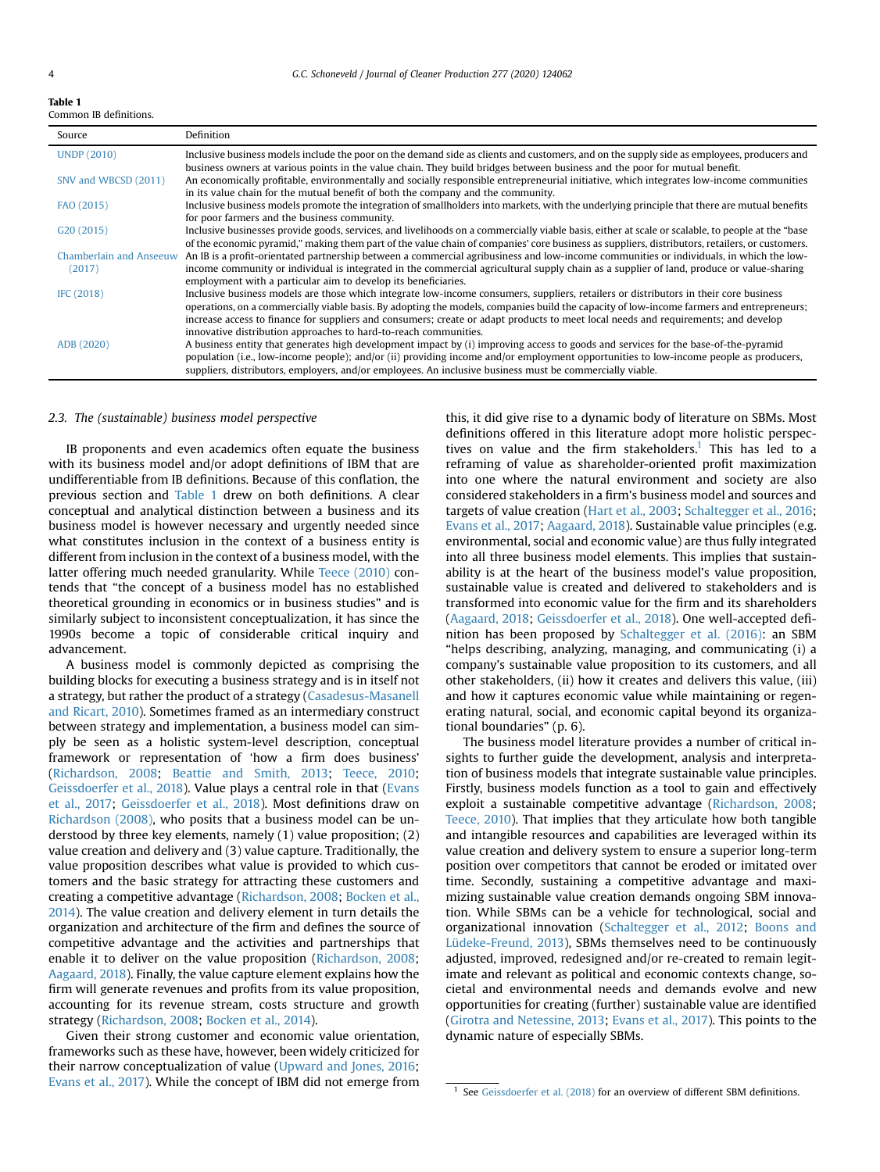<span id="page-3-0"></span>Table 1

| нанны п |                        |
|---------|------------------------|
|         | Common IB definitions. |

| Source                         | Definition                                                                                                                                        |
|--------------------------------|---------------------------------------------------------------------------------------------------------------------------------------------------|
| <b>UNDP (2010)</b>             | Inclusive business models include the poor on the demand side as clients and customers, and on the supply side as employees, producers and        |
|                                | business owners at various points in the value chain. They build bridges between business and the poor for mutual benefit.                        |
| SNV and WBCSD (2011)           | An economically profitable, environmentally and socially responsible entrepreneurial initiative, which integrates low-income communities          |
|                                | in its value chain for the mutual benefit of both the company and the community.                                                                  |
| FAO (2015)                     | Inclusive business models promote the integration of smallholders into markets, with the underlying principle that there are mutual benefits      |
|                                | for poor farmers and the business community.                                                                                                      |
| G20 (2015)                     | Inclusive businesses provide goods, services, and livelihoods on a commercially viable basis, either at scale or scalable, to people at the "base |
|                                | of the economic pyramid," making them part of the value chain of companies' core business as suppliers, distributors, retailers, or customers.    |
| <b>Chamberlain and Anseeuw</b> | An IB is a profit-orientated partnership between a commercial agribusiness and low-income communities or individuals, in which the low-           |
| (2017)                         | income community or individual is integrated in the commercial agricultural supply chain as a supplier of land, produce or value-sharing          |
|                                | employment with a particular aim to develop its beneficiaries.                                                                                    |
| IFC (2018)                     | Inclusive business models are those which integrate low-income consumers, suppliers, retailers or distributors in their core business             |
|                                | operations, on a commercially viable basis. By adopting the models, companies build the capacity of low-income farmers and entrepreneurs;         |
|                                | increase access to finance for suppliers and consumers; create or adapt products to meet local needs and requirements; and develop                |
|                                | innovative distribution approaches to hard-to-reach communities.                                                                                  |
| ADB (2020)                     | A business entity that generates high development impact by (i) improving access to goods and services for the base-of-the-pyramid                |
|                                | population (i.e., low-income people); and/or (ii) providing income and/or employment opportunities to low-income people as producers,             |
|                                | suppliers, distributors, employers, and/or employees. An inclusive business must be commercially viable.                                          |

#### <span id="page-3-2"></span>2.3. The (sustainable) business model perspective

IB proponents and even academics often equate the business with its business model and/or adopt definitions of IBM that are undifferentiable from IB definitions. Because of this conflation, the previous section and [Table 1](#page-3-0) drew on both definitions. A clear conceptual and analytical distinction between a business and its business model is however necessary and urgently needed since what constitutes inclusion in the context of a business entity is different from inclusion in the context of a business model, with the latter offering much needed granularity. While [Teece \(2010\)](#page-12-12) contends that "the concept of a business model has no established theoretical grounding in economics or in business studies" and is similarly subject to inconsistent conceptualization, it has since the 1990s become a topic of considerable critical inquiry and advancement.

A business model is commonly depicted as comprising the building blocks for executing a business strategy and is in itself not a strategy, but rather the product of a strategy [\(Casadesus-Masanell](#page-11-13) [and Ricart, 2010\)](#page-11-13). Sometimes framed as an intermediary construct between strategy and implementation, a business model can simply be seen as a holistic system-level description, conceptual framework or representation of 'how a firm does business' ([Richardson, 2008;](#page-12-13) [Beattie and Smith, 2013](#page-11-14); [Teece, 2010](#page-12-12); [Geissdoerfer et al., 2018](#page-11-15)). Value plays a central role in that [\(Evans](#page-11-16) [et al., 2017;](#page-11-16) [Geissdoerfer et al., 2018](#page-11-15)). Most definitions draw on [Richardson \(2008\)](#page-12-13), who posits that a business model can be understood by three key elements, namely (1) value proposition; (2) value creation and delivery and (3) value capture. Traditionally, the value proposition describes what value is provided to which customers and the basic strategy for attracting these customers and creating a competitive advantage ([Richardson, 2008](#page-12-13); [Bocken et al.,](#page-11-17) [2014](#page-11-17)). The value creation and delivery element in turn details the organization and architecture of the firm and defines the source of competitive advantage and the activities and partnerships that enable it to deliver on the value proposition [\(Richardson, 2008](#page-12-13); [Aagaard, 2018](#page-11-18)). Finally, the value capture element explains how the firm will generate revenues and profits from its value proposition, accounting for its revenue stream, costs structure and growth strategy ([Richardson, 2008](#page-12-13); [Bocken et al., 2014](#page-11-17)).

Given their strong customer and economic value orientation, frameworks such as these have, however, been widely criticized for their narrow conceptualization of value ([Upward and Jones, 2016](#page-12-14); [Evans et al., 2017\)](#page-11-16). While the concept of IBM did not emerge from this, it did give rise to a dynamic body of literature on SBMs. Most definitions offered in this literature adopt more holistic perspectives on value and the firm stakeholders.<sup>1</sup> This has led to a reframing of value as shareholder-oriented profit maximization into one where the natural environment and society are also considered stakeholders in a firm's business model and sources and targets of value creation [\(Hart et al., 2003;](#page-11-19) [Schaltegger et al., 2016](#page-12-9); [Evans et al., 2017;](#page-11-16) [Aagaard, 2018](#page-11-18)). Sustainable value principles (e.g. environmental, social and economic value) are thus fully integrated into all three business model elements. This implies that sustainability is at the heart of the business model's value proposition, sustainable value is created and delivered to stakeholders and is transformed into economic value for the firm and its shareholders ([Aagaard, 2018](#page-11-18); [Geissdoerfer et al., 2018\)](#page-11-15). One well-accepted definition has been proposed by [Schaltegger et al. \(2016\):](#page-12-9) an SBM "helps describing, analyzing, managing, and communicating (i) a company's sustainable value proposition to its customers, and all other stakeholders, (ii) how it creates and delivers this value, (iii) and how it captures economic value while maintaining or regenerating natural, social, and economic capital beyond its organizational boundaries" (p. 6).

The business model literature provides a number of critical insights to further guide the development, analysis and interpretation of business models that integrate sustainable value principles. Firstly, business models function as a tool to gain and effectively exploit a sustainable competitive advantage ([Richardson, 2008](#page-12-13); [Teece, 2010\)](#page-12-12). That implies that they articulate how both tangible and intangible resources and capabilities are leveraged within its value creation and delivery system to ensure a superior long-term position over competitors that cannot be eroded or imitated over time. Secondly, sustaining a competitive advantage and maximizing sustainable value creation demands ongoing SBM innovation. While SBMs can be a vehicle for technological, social and organizational innovation [\(Schaltegger et al., 2012](#page-12-15); [Boons and](#page-11-20) [Lüdeke-Freund, 2013\)](#page-11-20), SBMs themselves need to be continuously adjusted, improved, redesigned and/or re-created to remain legitimate and relevant as political and economic contexts change, societal and environmental needs and demands evolve and new opportunities for creating (further) sustainable value are identified ([Girotra and Netessine, 2013](#page-11-21); [Evans et al., 2017](#page-11-16)). This points to the dynamic nature of especially SBMs.

<span id="page-3-1"></span> $1$  See [Geissdoerfer et al. \(2018\)](#page-11-15) for an overview of different SBM definitions.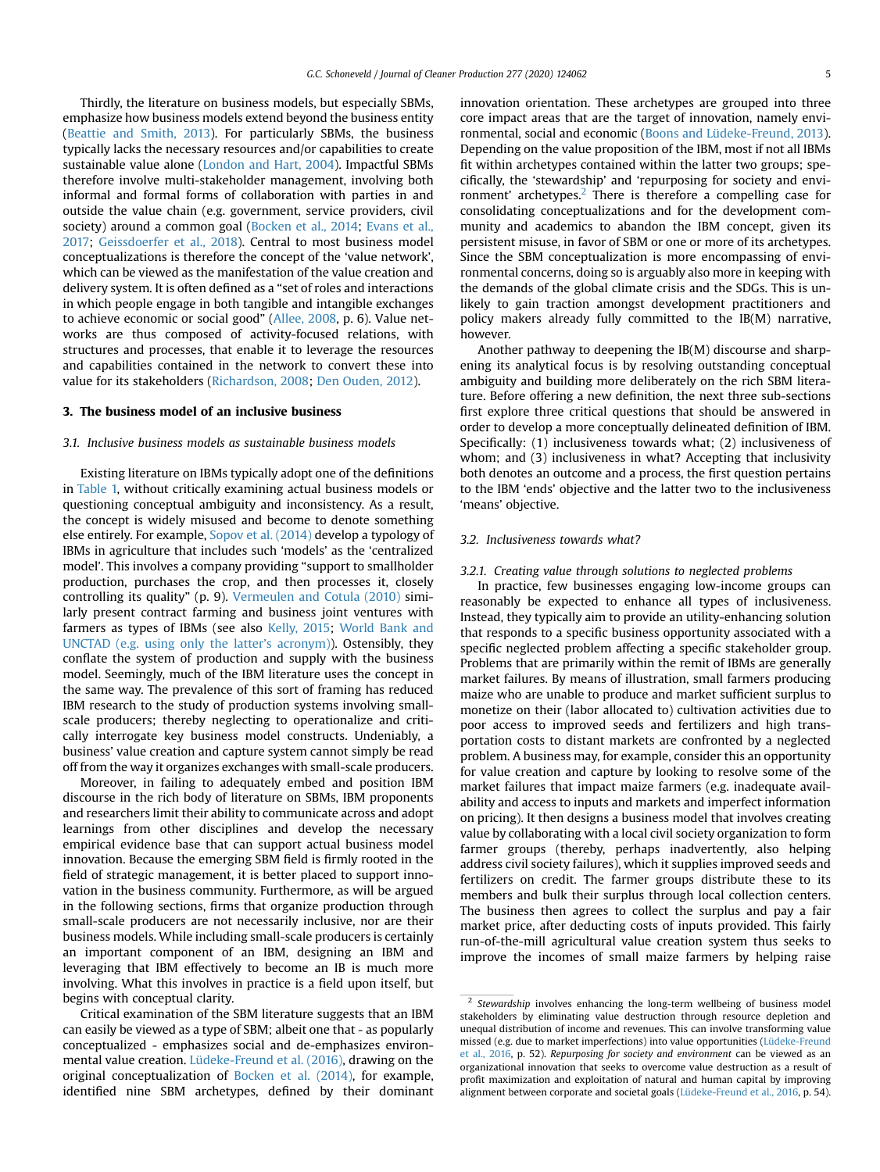Thirdly, the literature on business models, but especially SBMs, emphasize how business models extend beyond the business entity ([Beattie and Smith, 2013](#page-11-14)). For particularly SBMs, the business typically lacks the necessary resources and/or capabilities to create sustainable value alone [\(London and Hart, 2004](#page-11-23)). Impactful SBMs therefore involve multi-stakeholder management, involving both informal and formal forms of collaboration with parties in and outside the value chain (e.g. government, service providers, civil society) around a common goal [\(Bocken et al., 2014](#page-11-17); [Evans et al.,](#page-11-16) [2017](#page-11-16); [Geissdoerfer et al., 2018\)](#page-11-15). Central to most business model conceptualizations is therefore the concept of the 'value network', which can be viewed as the manifestation of the value creation and delivery system. It is often defined as a "set of roles and interactions in which people engage in both tangible and intangible exchanges to achieve economic or social good" [\(Allee, 2008,](#page-11-24) p. 6). Value networks are thus composed of activity-focused relations, with structures and processes, that enable it to leverage the resources and capabilities contained in the network to convert these into value for its stakeholders [\(Richardson, 2008](#page-12-13); [Den Ouden, 2012\)](#page-11-25).

#### 3. The business model of an inclusive business

# 3.1. Inclusive business models as sustainable business models

Existing literature on IBMs typically adopt one of the definitions in [Table 1,](#page-3-0) without critically examining actual business models or questioning conceptual ambiguity and inconsistency. As a result, the concept is widely misused and become to denote something else entirely. For example, [Sopov et al. \(2014\)](#page-12-16) develop a typology of IBMs in agriculture that includes such 'models' as the 'centralized model'. This involves a company providing "support to smallholder production, purchases the crop, and then processes it, closely controlling its quality" (p. 9). [Vermeulen and Cotula \(2010\)](#page-12-17) similarly present contract farming and business joint ventures with farmers as types of IBMs (see also [Kelly, 2015](#page-11-26); [World Bank and](#page-12-18) [UNCTAD \(e.g. using only the latter](#page-12-18)'s acronym)). Ostensibly, they conflate the system of production and supply with the business model. Seemingly, much of the IBM literature uses the concept in the same way. The prevalence of this sort of framing has reduced IBM research to the study of production systems involving smallscale producers; thereby neglecting to operationalize and critically interrogate key business model constructs. Undeniably, a business' value creation and capture system cannot simply be read off from the way it organizes exchanges with small-scale producers.

Moreover, in failing to adequately embed and position IBM discourse in the rich body of literature on SBMs, IBM proponents and researchers limit their ability to communicate across and adopt learnings from other disciplines and develop the necessary empirical evidence base that can support actual business model innovation. Because the emerging SBM field is firmly rooted in the field of strategic management, it is better placed to support innovation in the business community. Furthermore, as will be argued in the following sections, firms that organize production through small-scale producers are not necessarily inclusive, nor are their business models. While including small-scale producers is certainly an important component of an IBM, designing an IBM and leveraging that IBM effectively to become an IB is much more involving. What this involves in practice is a field upon itself, but begins with conceptual clarity.

Critical examination of the SBM literature suggests that an IBM can easily be viewed as a type of SBM; albeit one that - as popularly conceptualized - emphasizes social and de-emphasizes environmental value creation. [Lüdeke-Freund et al. \(2016\),](#page-11-27) drawing on the original conceptualization of [Bocken et al. \(2014\),](#page-11-17) for example, identified nine SBM archetypes, defined by their dominant innovation orientation. These archetypes are grouped into three core impact areas that are the target of innovation, namely environmental, social and economic ([Boons and Lüdeke-Freund, 2013\)](#page-11-20). Depending on the value proposition of the IBM, most if not all IBMs fit within archetypes contained within the latter two groups; specifically, the 'stewardship' and 'repurposing for society and envi-ronment' archetypes.<sup>[2](#page-4-0)</sup> There is therefore a compelling case for consolidating conceptualizations and for the development community and academics to abandon the IBM concept, given its persistent misuse, in favor of SBM or one or more of its archetypes. Since the SBM conceptualization is more encompassing of environmental concerns, doing so is arguably also more in keeping with the demands of the global climate crisis and the SDGs. This is unlikely to gain traction amongst development practitioners and policy makers already fully committed to the IB(M) narrative, however.

Another pathway to deepening the IB(M) discourse and sharpening its analytical focus is by resolving outstanding conceptual ambiguity and building more deliberately on the rich SBM literature. Before offering a new definition, the next three sub-sections first explore three critical questions that should be answered in order to develop a more conceptually delineated definition of IBM. Specifically: (1) inclusiveness towards what; (2) inclusiveness of whom; and (3) inclusiveness in what? Accepting that inclusivity both denotes an outcome and a process, the first question pertains to the IBM 'ends' objective and the latter two to the inclusiveness 'means' objective.

# <span id="page-4-1"></span>3.2. Inclusiveness towards what?

# 3.2.1. Creating value through solutions to neglected problems

In practice, few businesses engaging low-income groups can reasonably be expected to enhance all types of inclusiveness. Instead, they typically aim to provide an utility-enhancing solution that responds to a specific business opportunity associated with a specific neglected problem affecting a specific stakeholder group. Problems that are primarily within the remit of IBMs are generally market failures. By means of illustration, small farmers producing maize who are unable to produce and market sufficient surplus to monetize on their (labor allocated to) cultivation activities due to poor access to improved seeds and fertilizers and high transportation costs to distant markets are confronted by a neglected problem. A business may, for example, consider this an opportunity for value creation and capture by looking to resolve some of the market failures that impact maize farmers (e.g. inadequate availability and access to inputs and markets and imperfect information on pricing). It then designs a business model that involves creating value by collaborating with a local civil society organization to form farmer groups (thereby, perhaps inadvertently, also helping address civil society failures), which it supplies improved seeds and fertilizers on credit. The farmer groups distribute these to its members and bulk their surplus through local collection centers. The business then agrees to collect the surplus and pay a fair market price, after deducting costs of inputs provided. This fairly run-of-the-mill agricultural value creation system thus seeks to improve the incomes of small maize farmers by helping raise

<span id="page-4-0"></span><sup>&</sup>lt;sup>2</sup> Stewardship involves enhancing the long-term wellbeing of business model stakeholders by eliminating value destruction through resource depletion and unequal distribution of income and revenues. This can involve transforming value missed (e.g. due to market imperfections) into value opportunities [\(Lüdeke-Freund](#page-11-27) [et al., 2016,](#page-11-27) p. 52). Repurposing for society and environment can be viewed as an organizational innovation that seeks to overcome value destruction as a result of profit maximization and exploitation of natural and human capital by improving alignment between corporate and societal goals ([Lüdeke-Freund et al., 2016](#page-11-27), p. 54).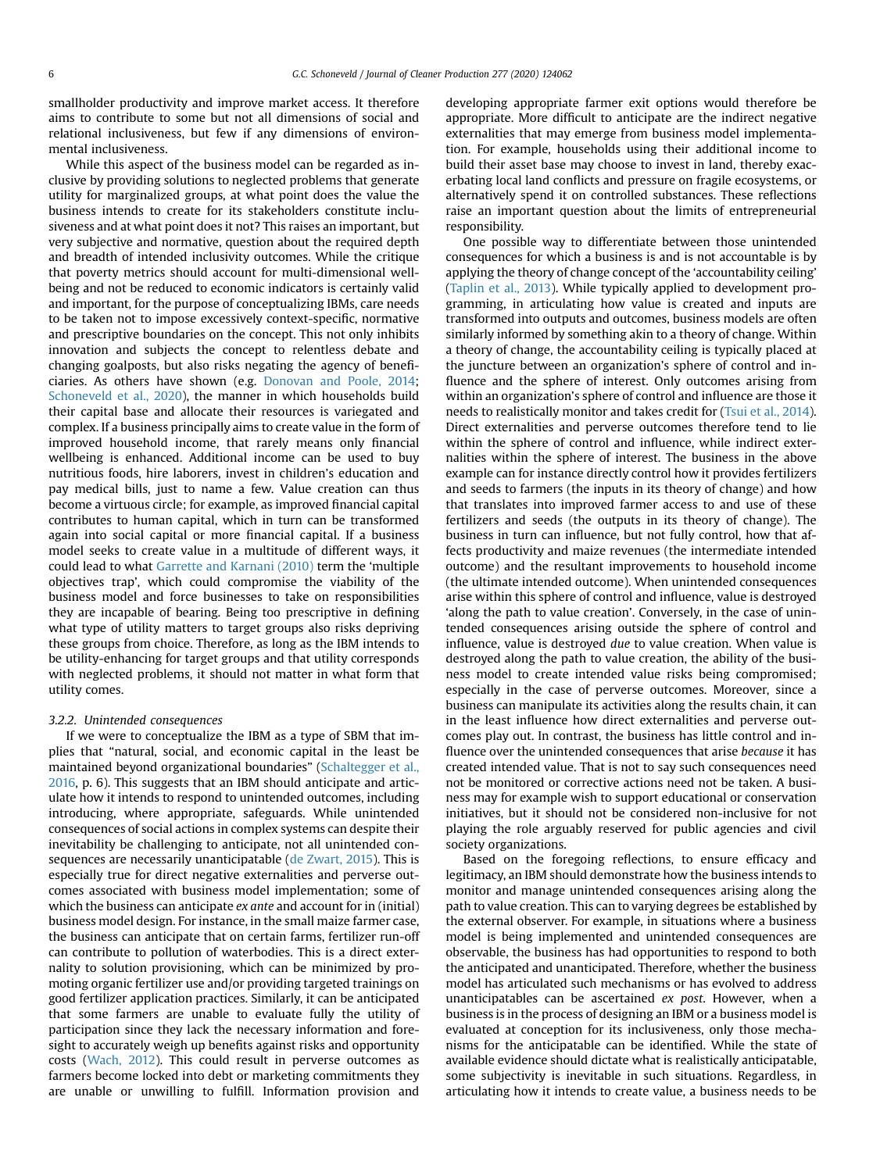smallholder productivity and improve market access. It therefore aims to contribute to some but not all dimensions of social and relational inclusiveness, but few if any dimensions of environmental inclusiveness.

While this aspect of the business model can be regarded as inclusive by providing solutions to neglected problems that generate utility for marginalized groups, at what point does the value the business intends to create for its stakeholders constitute inclusiveness and at what point does it not? This raises an important, but very subjective and normative, question about the required depth and breadth of intended inclusivity outcomes. While the critique that poverty metrics should account for multi-dimensional wellbeing and not be reduced to economic indicators is certainly valid and important, for the purpose of conceptualizing IBMs, care needs to be taken not to impose excessively context-specific, normative and prescriptive boundaries on the concept. This not only inhibits innovation and subjects the concept to relentless debate and changing goalposts, but also risks negating the agency of beneficiaries. As others have shown (e.g. [Donovan and Poole, 2014](#page-11-28); [Schoneveld et al., 2020](#page-12-19)), the manner in which households build their capital base and allocate their resources is variegated and complex. If a business principally aims to create value in the form of improved household income, that rarely means only financial wellbeing is enhanced. Additional income can be used to buy nutritious foods, hire laborers, invest in children's education and pay medical bills, just to name a few. Value creation can thus become a virtuous circle; for example, as improved financial capital contributes to human capital, which in turn can be transformed again into social capital or more financial capital. If a business model seeks to create value in a multitude of different ways, it could lead to what [Garrette and Karnani \(2010\)](#page-11-29) term the 'multiple objectives trap', which could compromise the viability of the business model and force businesses to take on responsibilities they are incapable of bearing. Being too prescriptive in defining what type of utility matters to target groups also risks depriving these groups from choice. Therefore, as long as the IBM intends to be utility-enhancing for target groups and that utility corresponds with neglected problems, it should not matter in what form that utility comes.

# 3.2.2. Unintended consequences

If we were to conceptualize the IBM as a type of SBM that implies that "natural, social, and economic capital in the least be maintained beyond organizational boundaries" [\(Schaltegger et al.,](#page-12-9) [2016](#page-12-9), p. 6). This suggests that an IBM should anticipate and articulate how it intends to respond to unintended outcomes, including introducing, where appropriate, safeguards. While unintended consequences of social actions in complex systems can despite their inevitability be challenging to anticipate, not all unintended consequences are necessarily unanticipatable [\(de Zwart, 2015\)](#page-11-30). This is especially true for direct negative externalities and perverse outcomes associated with business model implementation; some of which the business can anticipate *ex ante* and account for in (initial) business model design. For instance, in the small maize farmer case, the business can anticipate that on certain farms, fertilizer run-off can contribute to pollution of waterbodies. This is a direct externality to solution provisioning, which can be minimized by promoting organic fertilizer use and/or providing targeted trainings on good fertilizer application practices. Similarly, it can be anticipated that some farmers are unable to evaluate fully the utility of participation since they lack the necessary information and foresight to accurately weigh up benefits against risks and opportunity costs [\(Wach, 2012](#page-12-20)). This could result in perverse outcomes as farmers become locked into debt or marketing commitments they are unable or unwilling to fulfill. Information provision and developing appropriate farmer exit options would therefore be appropriate. More difficult to anticipate are the indirect negative externalities that may emerge from business model implementation. For example, households using their additional income to build their asset base may choose to invest in land, thereby exacerbating local land conflicts and pressure on fragile ecosystems, or alternatively spend it on controlled substances. These reflections raise an important question about the limits of entrepreneurial responsibility.

One possible way to differentiate between those unintended consequences for which a business is and is not accountable is by applying the theory of change concept of the 'accountability ceiling' ([Taplin et al., 2013](#page-12-21)). While typically applied to development programming, in articulating how value is created and inputs are transformed into outputs and outcomes, business models are often similarly informed by something akin to a theory of change. Within a theory of change, the accountability ceiling is typically placed at the juncture between an organization's sphere of control and influence and the sphere of interest. Only outcomes arising from within an organization's sphere of control and influence are those it needs to realistically monitor and takes credit for ([Tsui et al., 2014\)](#page-12-22). Direct externalities and perverse outcomes therefore tend to lie within the sphere of control and influence, while indirect externalities within the sphere of interest. The business in the above example can for instance directly control how it provides fertilizers and seeds to farmers (the inputs in its theory of change) and how that translates into improved farmer access to and use of these fertilizers and seeds (the outputs in its theory of change). The business in turn can influence, but not fully control, how that affects productivity and maize revenues (the intermediate intended outcome) and the resultant improvements to household income (the ultimate intended outcome). When unintended consequences arise within this sphere of control and influence, value is destroyed 'along the path to value creation'. Conversely, in the case of unintended consequences arising outside the sphere of control and influence, value is destroyed due to value creation. When value is destroyed along the path to value creation, the ability of the business model to create intended value risks being compromised; especially in the case of perverse outcomes. Moreover, since a business can manipulate its activities along the results chain, it can in the least influence how direct externalities and perverse outcomes play out. In contrast, the business has little control and influence over the unintended consequences that arise because it has created intended value. That is not to say such consequences need not be monitored or corrective actions need not be taken. A business may for example wish to support educational or conservation initiatives, but it should not be considered non-inclusive for not playing the role arguably reserved for public agencies and civil society organizations.

Based on the foregoing reflections, to ensure efficacy and legitimacy, an IBM should demonstrate how the business intends to monitor and manage unintended consequences arising along the path to value creation. This can to varying degrees be established by the external observer. For example, in situations where a business model is being implemented and unintended consequences are observable, the business has had opportunities to respond to both the anticipated and unanticipated. Therefore, whether the business model has articulated such mechanisms or has evolved to address unanticipatables can be ascertained ex post. However, when a business is in the process of designing an IBM or a business model is evaluated at conception for its inclusiveness, only those mechanisms for the anticipatable can be identified. While the state of available evidence should dictate what is realistically anticipatable, some subjectivity is inevitable in such situations. Regardless, in articulating how it intends to create value, a business needs to be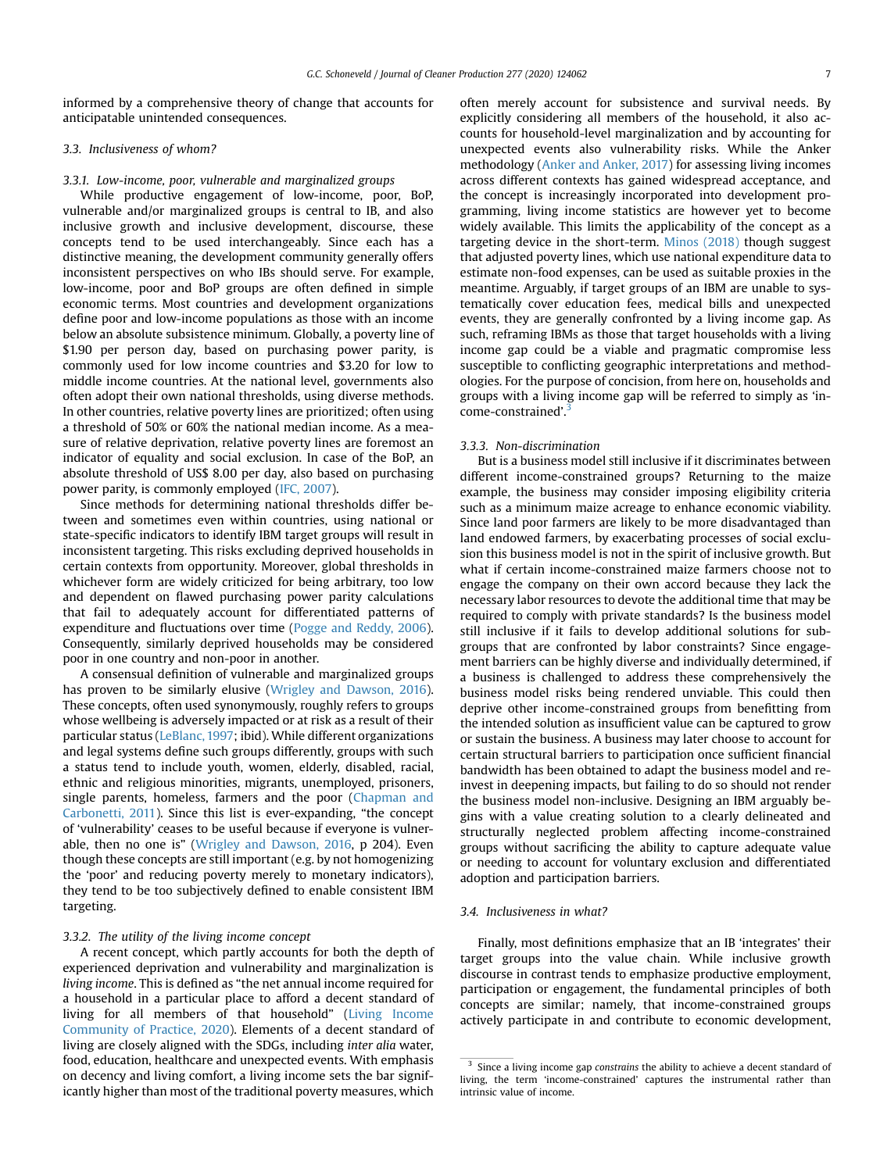informed by a comprehensive theory of change that accounts for anticipatable unintended consequences.

# 3.3. Inclusiveness of whom?

# 3.3.1. Low-income, poor, vulnerable and marginalized groups

While productive engagement of low-income, poor, BoP, vulnerable and/or marginalized groups is central to IB, and also inclusive growth and inclusive development, discourse, these concepts tend to be used interchangeably. Since each has a distinctive meaning, the development community generally offers inconsistent perspectives on who IBs should serve. For example, low-income, poor and BoP groups are often defined in simple economic terms. Most countries and development organizations define poor and low-income populations as those with an income below an absolute subsistence minimum. Globally, a poverty line of \$1.90 per person day, based on purchasing power parity, is commonly used for low income countries and \$3.20 for low to middle income countries. At the national level, governments also often adopt their own national thresholds, using diverse methods. In other countries, relative poverty lines are prioritized; often using a threshold of 50% or 60% the national median income. As a measure of relative deprivation, relative poverty lines are foremost an indicator of equality and social exclusion. In case of the BoP, an absolute threshold of US\$ 8.00 per day, also based on purchasing power parity, is commonly employed [\(IFC, 2007\)](#page-12-23).

Since methods for determining national thresholds differ between and sometimes even within countries, using national or state-specific indicators to identify IBM target groups will result in inconsistent targeting. This risks excluding deprived households in certain contexts from opportunity. Moreover, global thresholds in whichever form are widely criticized for being arbitrary, too low and dependent on flawed purchasing power parity calculations that fail to adequately account for differentiated patterns of expenditure and fluctuations over time ([Pogge and Reddy, 2006\)](#page-12-24). Consequently, similarly deprived households may be considered poor in one country and non-poor in another.

A consensual definition of vulnerable and marginalized groups has proven to be similarly elusive [\(Wrigley and Dawson, 2016\)](#page-12-25). These concepts, often used synonymously, roughly refers to groups whose wellbeing is adversely impacted or at risk as a result of their particular status [\(LeBlanc, 1997](#page-11-31); ibid). While different organizations and legal systems define such groups differently, groups with such a status tend to include youth, women, elderly, disabled, racial, ethnic and religious minorities, migrants, unemployed, prisoners, single parents, homeless, farmers and the poor [\(Chapman and](#page-11-32) [Carbonetti, 2011\)](#page-11-32). Since this list is ever-expanding, "the concept of 'vulnerability' ceases to be useful because if everyone is vulnerable, then no one is" [\(Wrigley and Dawson, 2016,](#page-12-25) p 204). Even though these concepts are still important (e.g. by not homogenizing the 'poor' and reducing poverty merely to monetary indicators), they tend to be too subjectively defined to enable consistent IBM targeting.

# 3.3.2. The utility of the living income concept

A recent concept, which partly accounts for both the depth of experienced deprivation and vulnerability and marginalization is living income. This is defined as "the net annual income required for a household in a particular place to afford a decent standard of living for all members of that household" ([Living Income](#page-11-33) [Community of Practice, 2020](#page-11-33)). Elements of a decent standard of living are closely aligned with the SDGs, including inter alia water, food, education, healthcare and unexpected events. With emphasis on decency and living comfort, a living income sets the bar significantly higher than most of the traditional poverty measures, which

often merely account for subsistence and survival needs. By explicitly considering all members of the household, it also accounts for household-level marginalization and by accounting for unexpected events also vulnerability risks. While the Anker methodology ([Anker and Anker, 2017](#page-11-34)) for assessing living incomes across different contexts has gained widespread acceptance, and the concept is increasingly incorporated into development programming, living income statistics are however yet to become widely available. This limits the applicability of the concept as a targeting device in the short-term. [Minos \(2018\)](#page-12-26) though suggest that adjusted poverty lines, which use national expenditure data to estimate non-food expenses, can be used as suitable proxies in the meantime. Arguably, if target groups of an IBM are unable to systematically cover education fees, medical bills and unexpected events, they are generally confronted by a living income gap. As such, reframing IBMs as those that target households with a living income gap could be a viable and pragmatic compromise less susceptible to conflicting geographic interpretations and methodologies. For the purpose of concision, from here on, households and groups with a living income gap will be referred to simply as 'in-come-constrained'.<sup>[3](#page-6-0)</sup>

#### 3.3.3. Non-discrimination

But is a business model still inclusive if it discriminates between different income-constrained groups? Returning to the maize example, the business may consider imposing eligibility criteria such as a minimum maize acreage to enhance economic viability. Since land poor farmers are likely to be more disadvantaged than land endowed farmers, by exacerbating processes of social exclusion this business model is not in the spirit of inclusive growth. But what if certain income-constrained maize farmers choose not to engage the company on their own accord because they lack the necessary labor resources to devote the additional time that may be required to comply with private standards? Is the business model still inclusive if it fails to develop additional solutions for subgroups that are confronted by labor constraints? Since engagement barriers can be highly diverse and individually determined, if a business is challenged to address these comprehensively the business model risks being rendered unviable. This could then deprive other income-constrained groups from benefitting from the intended solution as insufficient value can be captured to grow or sustain the business. A business may later choose to account for certain structural barriers to participation once sufficient financial bandwidth has been obtained to adapt the business model and reinvest in deepening impacts, but failing to do so should not render the business model non-inclusive. Designing an IBM arguably begins with a value creating solution to a clearly delineated and structurally neglected problem affecting income-constrained groups without sacrificing the ability to capture adequate value or needing to account for voluntary exclusion and differentiated adoption and participation barriers.

#### 3.4. Inclusiveness in what?

Finally, most definitions emphasize that an IB 'integrates' their target groups into the value chain. While inclusive growth discourse in contrast tends to emphasize productive employment, participation or engagement, the fundamental principles of both concepts are similar; namely, that income-constrained groups actively participate in and contribute to economic development,

<span id="page-6-0"></span><sup>&</sup>lt;sup>3</sup> Since a living income gap constrains the ability to achieve a decent standard of living, the term 'income-constrained' captures the instrumental rather than intrinsic value of income.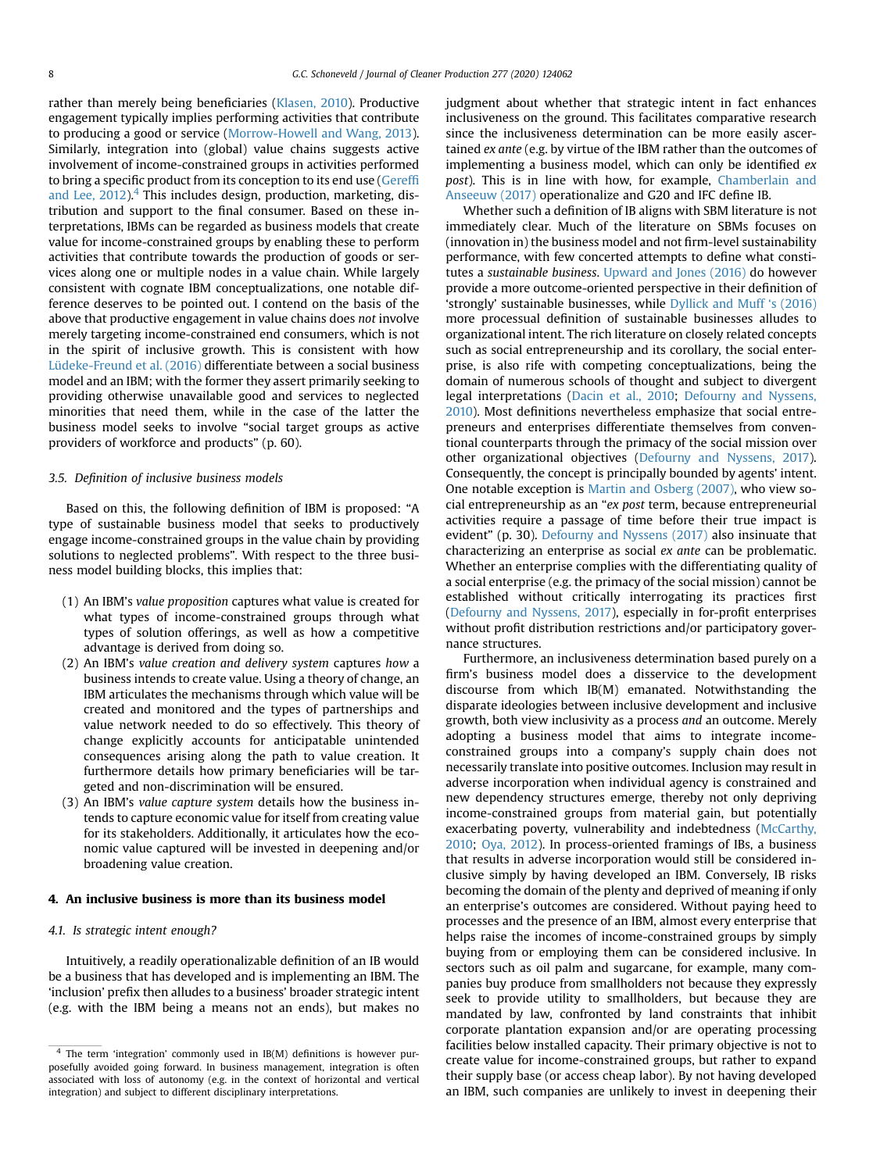rather than merely being beneficiaries [\(Klasen, 2010](#page-11-5)). Productive engagement typically implies performing activities that contribute to producing a good or service [\(Morrow-Howell and Wang, 2013\)](#page-12-27). Similarly, integration into (global) value chains suggests active involvement of income-constrained groups in activities performed to bring a specific product from its conception to its end use [\(Geref](#page-11-35)fi and Lee,  $2012$ ).<sup>[4](#page-7-0)</sup> This includes design, production, marketing, distribution and support to the final consumer. Based on these interpretations, IBMs can be regarded as business models that create value for income-constrained groups by enabling these to perform activities that contribute towards the production of goods or services along one or multiple nodes in a value chain. While largely consistent with cognate IBM conceptualizations, one notable difference deserves to be pointed out. I contend on the basis of the above that productive engagement in value chains does not involve merely targeting income-constrained end consumers, which is not in the spirit of inclusive growth. This is consistent with how [Lüdeke-Freund et al. \(2016\)](#page-11-27) differentiate between a social business model and an IBM; with the former they assert primarily seeking to providing otherwise unavailable good and services to neglected minorities that need them, while in the case of the latter the business model seeks to involve "social target groups as active providers of workforce and products" (p. 60).

#### 3.5. Definition of inclusive business models

Based on this, the following definition of IBM is proposed: "A type of sustainable business model that seeks to productively engage income-constrained groups in the value chain by providing solutions to neglected problems". With respect to the three business model building blocks, this implies that:

- (1) An IBM's value proposition captures what value is created for what types of income-constrained groups through what types of solution offerings, as well as how a competitive advantage is derived from doing so.
- (2) An IBM's value creation and delivery system captures how a business intends to create value. Using a theory of change, an IBM articulates the mechanisms through which value will be created and monitored and the types of partnerships and value network needed to do so effectively. This theory of change explicitly accounts for anticipatable unintended consequences arising along the path to value creation. It furthermore details how primary beneficiaries will be targeted and non-discrimination will be ensured.
- (3) An IBM's value capture system details how the business intends to capture economic value for itself from creating value for its stakeholders. Additionally, it articulates how the economic value captured will be invested in deepening and/or broadening value creation.

# 4. An inclusive business is more than its business model

# 4.1. Is strategic intent enough?

Intuitively, a readily operationalizable definition of an IB would be a business that has developed and is implementing an IBM. The 'inclusion' prefix then alludes to a business' broader strategic intent (e.g. with the IBM being a means not an ends), but makes no judgment about whether that strategic intent in fact enhances inclusiveness on the ground. This facilitates comparative research since the inclusiveness determination can be more easily ascertained ex ante (e.g. by virtue of the IBM rather than the outcomes of implementing a business model, which can only be identified ex post). This is in line with how, for example, [Chamberlain and](#page-11-22) [Anseeuw \(2017\)](#page-11-22) operationalize and G20 and IFC define IB.

Whether such a definition of IB aligns with SBM literature is not immediately clear. Much of the literature on SBMs focuses on (innovation in) the business model and not firm-level sustainability performance, with few concerted attempts to define what constitutes a sustainable business. [Upward and Jones \(2016\)](#page-12-14) do however provide a more outcome-oriented perspective in their definition of 'strongly' sustainable businesses, while [Dyllick and Muff](#page-11-36) 's (2016) more processual definition of sustainable businesses alludes to organizational intent. The rich literature on closely related concepts such as social entrepreneurship and its corollary, the social enterprise, is also rife with competing conceptualizations, being the domain of numerous schools of thought and subject to divergent legal interpretations [\(Dacin et al., 2010](#page-11-37); [Defourny and Nyssens,](#page-11-38) [2010\)](#page-11-38). Most definitions nevertheless emphasize that social entrepreneurs and enterprises differentiate themselves from conventional counterparts through the primacy of the social mission over other organizational objectives ([Defourny and Nyssens, 2017\)](#page-11-39). Consequently, the concept is principally bounded by agents' intent. One notable exception is [Martin and Osberg \(2007\)](#page-11-0), who view social entrepreneurship as an "ex post term, because entrepreneurial activities require a passage of time before their true impact is evident" (p. 30). [Defourny and Nyssens \(2017\)](#page-11-39) also insinuate that characterizing an enterprise as social ex ante can be problematic. Whether an enterprise complies with the differentiating quality of a social enterprise (e.g. the primacy of the social mission) cannot be established without critically interrogating its practices first ([Defourny and Nyssens, 2017\)](#page-11-39), especially in for-profit enterprises without profit distribution restrictions and/or participatory governance structures.

Furthermore, an inclusiveness determination based purely on a firm's business model does a disservice to the development discourse from which IB(M) emanated. Notwithstanding the disparate ideologies between inclusive development and inclusive growth, both view inclusivity as a process and an outcome. Merely adopting a business model that aims to integrate incomeconstrained groups into a company's supply chain does not necessarily translate into positive outcomes. Inclusion may result in adverse incorporation when individual agency is constrained and new dependency structures emerge, thereby not only depriving income-constrained groups from material gain, but potentially exacerbating poverty, vulnerability and indebtedness [\(McCarthy,](#page-11-40) [2010;](#page-11-40) [Oya, 2012](#page-12-28)). In process-oriented framings of IBs, a business that results in adverse incorporation would still be considered inclusive simply by having developed an IBM. Conversely, IB risks becoming the domain of the plenty and deprived of meaning if only an enterprise's outcomes are considered. Without paying heed to processes and the presence of an IBM, almost every enterprise that helps raise the incomes of income-constrained groups by simply buying from or employing them can be considered inclusive. In sectors such as oil palm and sugarcane, for example, many companies buy produce from smallholders not because they expressly seek to provide utility to smallholders, but because they are mandated by law, confronted by land constraints that inhibit corporate plantation expansion and/or are operating processing facilities below installed capacity. Their primary objective is not to create value for income-constrained groups, but rather to expand their supply base (or access cheap labor). By not having developed an IBM, such companies are unlikely to invest in deepening their

<span id="page-7-0"></span> $\frac{4}{4}$  The term 'integration' commonly used in IB(M) definitions is however purposefully avoided going forward. In business management, integration is often associated with loss of autonomy (e.g. in the context of horizontal and vertical integration) and subject to different disciplinary interpretations.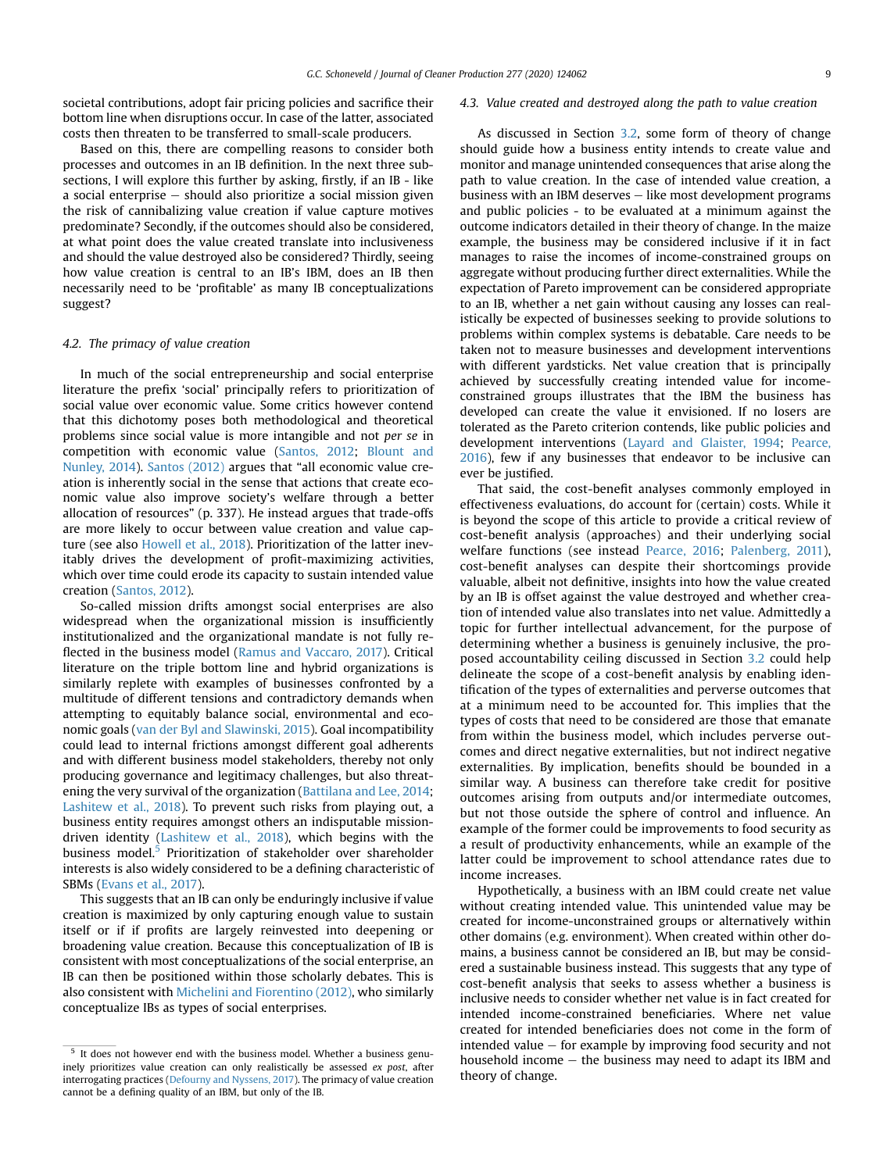societal contributions, adopt fair pricing policies and sacrifice their bottom line when disruptions occur. In case of the latter, associated costs then threaten to be transferred to small-scale producers.

Based on this, there are compelling reasons to consider both processes and outcomes in an IB definition. In the next three subsections, I will explore this further by asking, firstly, if an IB - like a social enterprise  $-$  should also prioritize a social mission given the risk of cannibalizing value creation if value capture motives predominate? Secondly, if the outcomes should also be considered, at what point does the value created translate into inclusiveness and should the value destroyed also be considered? Thirdly, seeing how value creation is central to an IB's IBM, does an IB then necessarily need to be 'profitable' as many IB conceptualizations suggest?

# 4.2. The primacy of value creation

In much of the social entrepreneurship and social enterprise literature the prefix 'social' principally refers to prioritization of social value over economic value. Some critics however contend that this dichotomy poses both methodological and theoretical problems since social value is more intangible and not per se in competition with economic value ([Santos, 2012;](#page-12-29) [Blount and](#page-11-41) [Nunley, 2014](#page-11-41)). [Santos \(2012\)](#page-12-29) argues that "all economic value creation is inherently social in the sense that actions that create economic value also improve society's welfare through a better allocation of resources" (p. 337). He instead argues that trade-offs are more likely to occur between value creation and value capture (see also [Howell et al., 2018\)](#page-11-42). Prioritization of the latter inevitably drives the development of profit-maximizing activities, which over time could erode its capacity to sustain intended value creation ([Santos, 2012](#page-12-29)).

So-called mission drifts amongst social enterprises are also widespread when the organizational mission is insufficiently institutionalized and the organizational mandate is not fully reflected in the business model [\(Ramus and Vaccaro, 2017](#page-12-30)). Critical literature on the triple bottom line and hybrid organizations is similarly replete with examples of businesses confronted by a multitude of different tensions and contradictory demands when attempting to equitably balance social, environmental and economic goals [\(van der Byl and Slawinski, 2015](#page-12-31)). Goal incompatibility could lead to internal frictions amongst different goal adherents and with different business model stakeholders, thereby not only producing governance and legitimacy challenges, but also threatening the very survival of the organization [\(Battilana and Lee, 2014;](#page-11-43) [Lashitew et al., 2018\)](#page-11-44). To prevent such risks from playing out, a business entity requires amongst others an indisputable missiondriven identity ([Lashitew et al., 2018](#page-11-44)), which begins with the business model.<sup>[5](#page-8-0)</sup> Prioritization of stakeholder over shareholder interests is also widely considered to be a defining characteristic of SBMs ([Evans et al., 2017\)](#page-11-16).

This suggests that an IB can only be enduringly inclusive if value creation is maximized by only capturing enough value to sustain itself or if if profits are largely reinvested into deepening or broadening value creation. Because this conceptualization of IB is consistent with most conceptualizations of the social enterprise, an IB can then be positioned within those scholarly debates. This is also consistent with [Michelini and Fiorentino \(2012\)](#page-12-32), who similarly conceptualize IBs as types of social enterprises.

## 4.3. Value created and destroyed along the path to value creation

As discussed in Section [3.2](#page-4-1), some form of theory of change should guide how a business entity intends to create value and monitor and manage unintended consequences that arise along the path to value creation. In the case of intended value creation, a business with an IBM deserves  $-$  like most development programs and public policies - to be evaluated at a minimum against the outcome indicators detailed in their theory of change. In the maize example, the business may be considered inclusive if it in fact manages to raise the incomes of income-constrained groups on aggregate without producing further direct externalities. While the expectation of Pareto improvement can be considered appropriate to an IB, whether a net gain without causing any losses can realistically be expected of businesses seeking to provide solutions to problems within complex systems is debatable. Care needs to be taken not to measure businesses and development interventions with different yardsticks. Net value creation that is principally achieved by successfully creating intended value for incomeconstrained groups illustrates that the IBM the business has developed can create the value it envisioned. If no losers are tolerated as the Pareto criterion contends, like public policies and development interventions [\(Layard and Glaister, 1994;](#page-11-45) [Pearce,](#page-12-33) [2016\)](#page-12-33), few if any businesses that endeavor to be inclusive can ever be justified.

That said, the cost-benefit analyses commonly employed in effectiveness evaluations, do account for (certain) costs. While it is beyond the scope of this article to provide a critical review of cost-benefit analysis (approaches) and their underlying social welfare functions (see instead [Pearce, 2016;](#page-12-33) [Palenberg, 2011\)](#page-12-34), cost-benefit analyses can despite their shortcomings provide valuable, albeit not definitive, insights into how the value created by an IB is offset against the value destroyed and whether creation of intended value also translates into net value. Admittedly a topic for further intellectual advancement, for the purpose of determining whether a business is genuinely inclusive, the proposed accountability ceiling discussed in Section [3.2](#page-4-1) could help delineate the scope of a cost-benefit analysis by enabling identification of the types of externalities and perverse outcomes that at a minimum need to be accounted for. This implies that the types of costs that need to be considered are those that emanate from within the business model, which includes perverse outcomes and direct negative externalities, but not indirect negative externalities. By implication, benefits should be bounded in a similar way. A business can therefore take credit for positive outcomes arising from outputs and/or intermediate outcomes, but not those outside the sphere of control and influence. An example of the former could be improvements to food security as a result of productivity enhancements, while an example of the latter could be improvement to school attendance rates due to income increases.

Hypothetically, a business with an IBM could create net value without creating intended value. This unintended value may be created for income-unconstrained groups or alternatively within other domains (e.g. environment). When created within other domains, a business cannot be considered an IB, but may be considered a sustainable business instead. This suggests that any type of cost-benefit analysis that seeks to assess whether a business is inclusive needs to consider whether net value is in fact created for intended income-constrained beneficiaries. Where net value created for intended beneficiaries does not come in the form of intended value  $-$  for example by improving food security and not household income  $-$  the business may need to adapt its IBM and theory of change.

<span id="page-8-0"></span> $5$  It does not however end with the business model. Whether a business genuinely prioritizes value creation can only realistically be assessed ex post, after interrogating practices ([Defourny and Nyssens, 2017](#page-11-39)). The primacy of value creation cannot be a defining quality of an IBM, but only of the IB.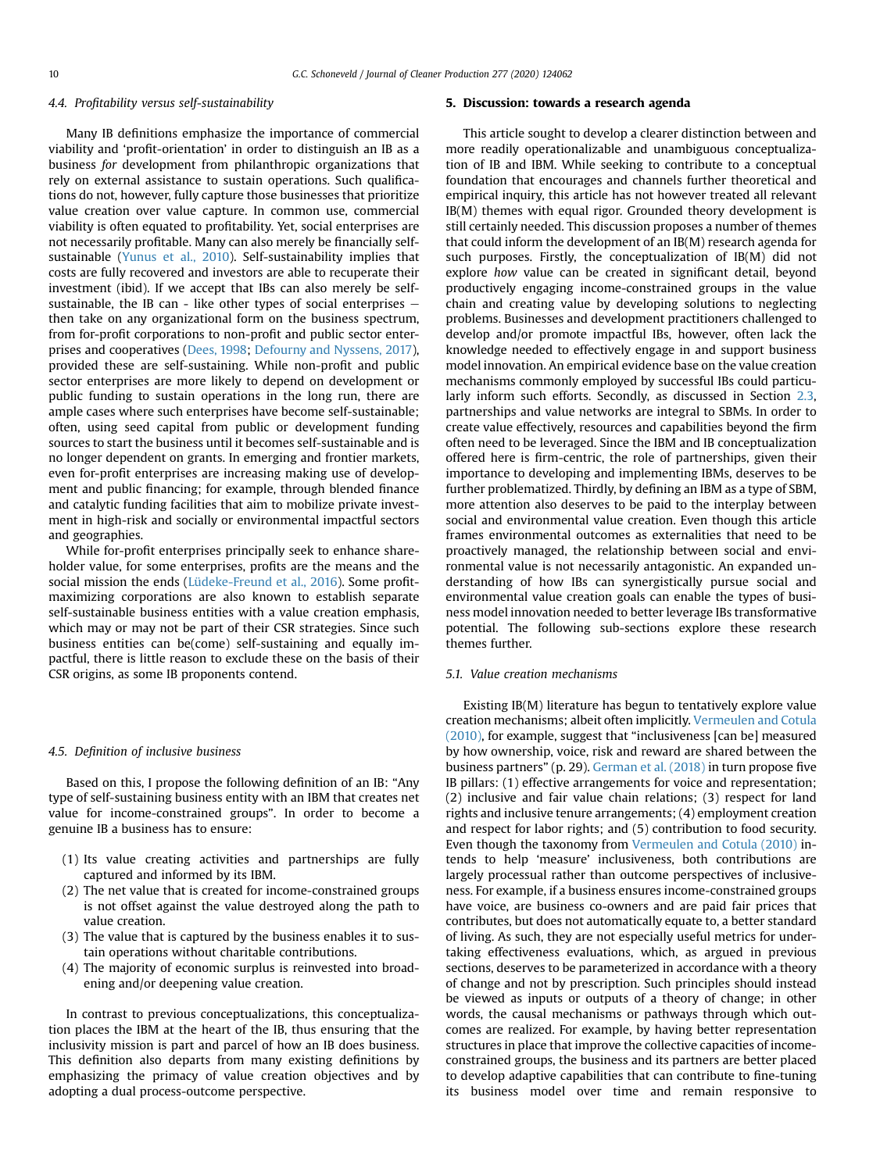# 4.4. Profitability versus self-sustainability

Many IB definitions emphasize the importance of commercial viability and 'profit-orientation' in order to distinguish an IB as a business for development from philanthropic organizations that rely on external assistance to sustain operations. Such qualifications do not, however, fully capture those businesses that prioritize value creation over value capture. In common use, commercial viability is often equated to profitability. Yet, social enterprises are not necessarily profitable. Many can also merely be financially selfsustainable ([Yunus et al., 2010](#page-12-35)). Self-sustainability implies that costs are fully recovered and investors are able to recuperate their investment (ibid). If we accept that IBs can also merely be selfsustainable, the IB can - like other types of social enterprises  $$ then take on any organizational form on the business spectrum, from for-profit corporations to non-profit and public sector enterprises and cooperatives ([Dees, 1998](#page-11-46); [Defourny and Nyssens, 2017\)](#page-11-39), provided these are self-sustaining. While non-profit and public sector enterprises are more likely to depend on development or public funding to sustain operations in the long run, there are ample cases where such enterprises have become self-sustainable; often, using seed capital from public or development funding sources to start the business until it becomes self-sustainable and is no longer dependent on grants. In emerging and frontier markets, even for-profit enterprises are increasing making use of development and public financing; for example, through blended finance and catalytic funding facilities that aim to mobilize private investment in high-risk and socially or environmental impactful sectors and geographies.

While for-profit enterprises principally seek to enhance shareholder value, for some enterprises, profits are the means and the social mission the ends [\(Lüdeke-Freund et al., 2016](#page-11-27)). Some profitmaximizing corporations are also known to establish separate self-sustainable business entities with a value creation emphasis, which may or may not be part of their CSR strategies. Since such business entities can be(come) self-sustaining and equally impactful, there is little reason to exclude these on the basis of their CSR origins, as some IB proponents contend.

# 4.5. Definition of inclusive business

Based on this, I propose the following definition of an IB: "Any type of self-sustaining business entity with an IBM that creates net value for income-constrained groups". In order to become a genuine IB a business has to ensure:

- (1) Its value creating activities and partnerships are fully captured and informed by its IBM.
- (2) The net value that is created for income-constrained groups is not offset against the value destroyed along the path to value creation.
- (3) The value that is captured by the business enables it to sustain operations without charitable contributions.
- (4) The majority of economic surplus is reinvested into broadening and/or deepening value creation.

In contrast to previous conceptualizations, this conceptualization places the IBM at the heart of the IB, thus ensuring that the inclusivity mission is part and parcel of how an IB does business. This definition also departs from many existing definitions by emphasizing the primacy of value creation objectives and by adopting a dual process-outcome perspective.

#### 5. Discussion: towards a research agenda

This article sought to develop a clearer distinction between and more readily operationalizable and unambiguous conceptualization of IB and IBM. While seeking to contribute to a conceptual foundation that encourages and channels further theoretical and empirical inquiry, this article has not however treated all relevant IB(M) themes with equal rigor. Grounded theory development is still certainly needed. This discussion proposes a number of themes that could inform the development of an IB(M) research agenda for such purposes. Firstly, the conceptualization of IB(M) did not explore how value can be created in significant detail, beyond productively engaging income-constrained groups in the value chain and creating value by developing solutions to neglecting problems. Businesses and development practitioners challenged to develop and/or promote impactful IBs, however, often lack the knowledge needed to effectively engage in and support business model innovation. An empirical evidence base on the value creation mechanisms commonly employed by successful IBs could particularly inform such efforts. Secondly, as discussed in Section [2.3,](#page-3-2) partnerships and value networks are integral to SBMs. In order to create value effectively, resources and capabilities beyond the firm often need to be leveraged. Since the IBM and IB conceptualization offered here is firm-centric, the role of partnerships, given their importance to developing and implementing IBMs, deserves to be further problematized. Thirdly, by defining an IBM as a type of SBM, more attention also deserves to be paid to the interplay between social and environmental value creation. Even though this article frames environmental outcomes as externalities that need to be proactively managed, the relationship between social and environmental value is not necessarily antagonistic. An expanded understanding of how IBs can synergistically pursue social and environmental value creation goals can enable the types of business model innovation needed to better leverage IBs transformative potential. The following sub-sections explore these research themes further.

# 5.1. Value creation mechanisms

Existing IB(M) literature has begun to tentatively explore value creation mechanisms; albeit often implicitly. [Vermeulen and Cotula](#page-12-17) [\(2010\)](#page-12-17), for example, suggest that "inclusiveness [can be] measured by how ownership, voice, risk and reward are shared between the business partners" (p. 29). [German et al. \(2018\)](#page-11-47) in turn propose five IB pillars: (1) effective arrangements for voice and representation; (2) inclusive and fair value chain relations; (3) respect for land rights and inclusive tenure arrangements; (4) employment creation and respect for labor rights; and (5) contribution to food security. Even though the taxonomy from [Vermeulen and Cotula \(2010\)](#page-12-17) intends to help 'measure' inclusiveness, both contributions are largely processual rather than outcome perspectives of inclusiveness. For example, if a business ensures income-constrained groups have voice, are business co-owners and are paid fair prices that contributes, but does not automatically equate to, a better standard of living. As such, they are not especially useful metrics for undertaking effectiveness evaluations, which, as argued in previous sections, deserves to be parameterized in accordance with a theory of change and not by prescription. Such principles should instead be viewed as inputs or outputs of a theory of change; in other words, the causal mechanisms or pathways through which outcomes are realized. For example, by having better representation structures in place that improve the collective capacities of incomeconstrained groups, the business and its partners are better placed to develop adaptive capabilities that can contribute to fine-tuning its business model over time and remain responsive to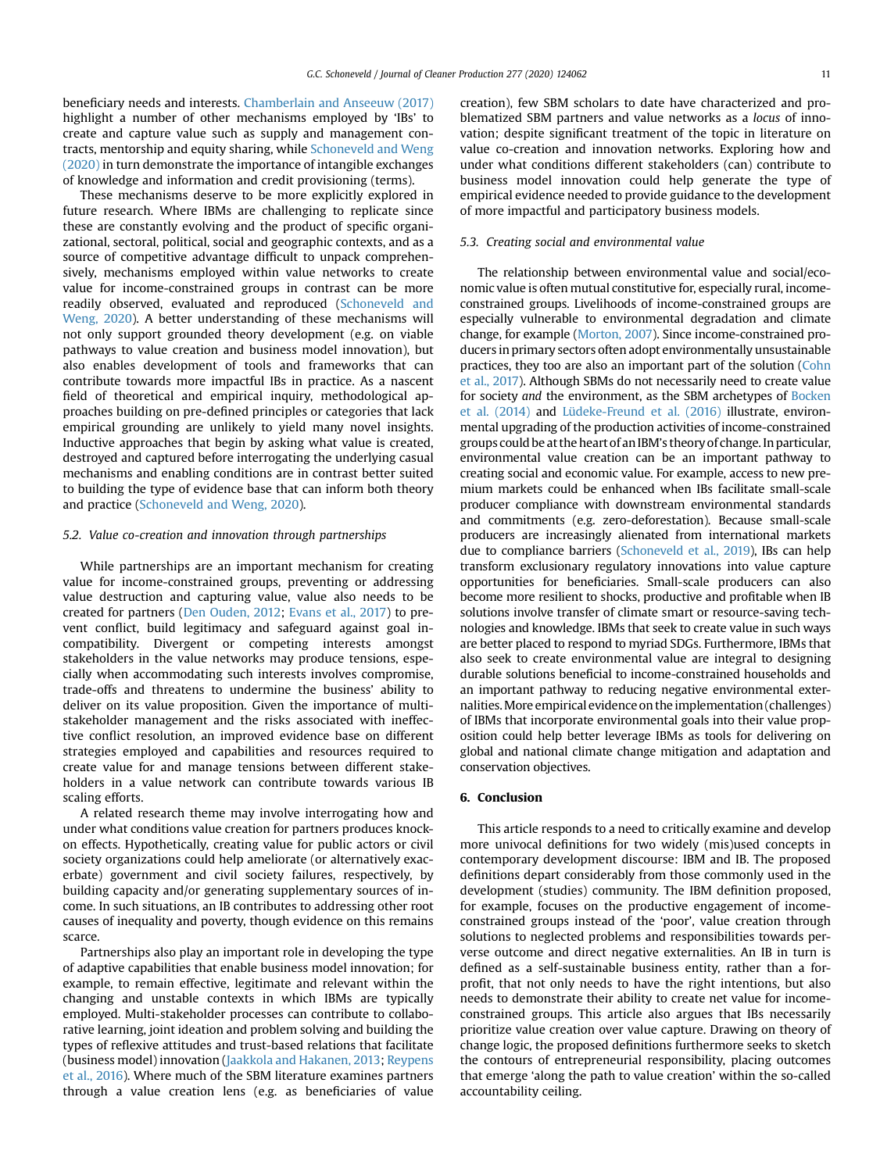beneficiary needs and interests. [Chamberlain and Anseeuw \(2017\)](#page-11-22) highlight a number of other mechanisms employed by 'IBs' to create and capture value such as supply and management contracts, mentorship and equity sharing, while [Schoneveld and Weng](#page-12-36) [\(2020\)](#page-12-36) in turn demonstrate the importance of intangible exchanges of knowledge and information and credit provisioning (terms).

These mechanisms deserve to be more explicitly explored in future research. Where IBMs are challenging to replicate since these are constantly evolving and the product of specific organizational, sectoral, political, social and geographic contexts, and as a source of competitive advantage difficult to unpack comprehensively, mechanisms employed within value networks to create value for income-constrained groups in contrast can be more readily observed, evaluated and reproduced [\(Schoneveld and](#page-12-36) [Weng, 2020](#page-12-36)). A better understanding of these mechanisms will not only support grounded theory development (e.g. on viable pathways to value creation and business model innovation), but also enables development of tools and frameworks that can contribute towards more impactful IBs in practice. As a nascent field of theoretical and empirical inquiry, methodological approaches building on pre-defined principles or categories that lack empirical grounding are unlikely to yield many novel insights. Inductive approaches that begin by asking what value is created, destroyed and captured before interrogating the underlying casual mechanisms and enabling conditions are in contrast better suited to building the type of evidence base that can inform both theory and practice ([Schoneveld and Weng, 2020](#page-12-36)).

## 5.2. Value co-creation and innovation through partnerships

While partnerships are an important mechanism for creating value for income-constrained groups, preventing or addressing value destruction and capturing value, value also needs to be created for partners [\(Den Ouden, 2012](#page-11-25); [Evans et al., 2017\)](#page-11-16) to prevent conflict, build legitimacy and safeguard against goal incompatibility. Divergent or competing interests amongst stakeholders in the value networks may produce tensions, especially when accommodating such interests involves compromise, trade-offs and threatens to undermine the business' ability to deliver on its value proposition. Given the importance of multistakeholder management and the risks associated with ineffective conflict resolution, an improved evidence base on different strategies employed and capabilities and resources required to create value for and manage tensions between different stakeholders in a value network can contribute towards various IB scaling efforts.

A related research theme may involve interrogating how and under what conditions value creation for partners produces knockon effects. Hypothetically, creating value for public actors or civil society organizations could help ameliorate (or alternatively exacerbate) government and civil society failures, respectively, by building capacity and/or generating supplementary sources of income. In such situations, an IB contributes to addressing other root causes of inequality and poverty, though evidence on this remains scarce.

Partnerships also play an important role in developing the type of adaptive capabilities that enable business model innovation; for example, to remain effective, legitimate and relevant within the changing and unstable contexts in which IBMs are typically employed. Multi-stakeholder processes can contribute to collaborative learning, joint ideation and problem solving and building the types of reflexive attitudes and trust-based relations that facilitate (business model) innovation [\(Jaakkola and Hakanen, 2013;](#page-11-48) [Reypens](#page-12-37) [et al., 2016](#page-12-37)). Where much of the SBM literature examines partners through a value creation lens (e.g. as beneficiaries of value creation), few SBM scholars to date have characterized and problematized SBM partners and value networks as a locus of innovation; despite significant treatment of the topic in literature on value co-creation and innovation networks. Exploring how and under what conditions different stakeholders (can) contribute to business model innovation could help generate the type of empirical evidence needed to provide guidance to the development of more impactful and participatory business models.

# 5.3. Creating social and environmental value

The relationship between environmental value and social/economic value is often mutual constitutive for, especially rural, incomeconstrained groups. Livelihoods of income-constrained groups are especially vulnerable to environmental degradation and climate change, for example [\(Morton, 2007\)](#page-12-38). Since income-constrained producers in primary sectors often adopt environmentally unsustainable practices, they too are also an important part of the solution [\(Cohn](#page-11-49) [et al., 2017](#page-11-49)). Although SBMs do not necessarily need to create value for society and the environment, as the SBM archetypes of [Bocken](#page-11-17) [et al. \(2014\)](#page-11-17) and [Lüdeke-Freund et al. \(2016\)](#page-11-27) illustrate, environmental upgrading of the production activities of income-constrained groups could be at the heart of an IBM's theory of change. In particular, environmental value creation can be an important pathway to creating social and economic value. For example, access to new premium markets could be enhanced when IBs facilitate small-scale producer compliance with downstream environmental standards and commitments (e.g. zero-deforestation). Because small-scale producers are increasingly alienated from international markets due to compliance barriers [\(Schoneveld et al., 2019\)](#page-12-39), IBs can help transform exclusionary regulatory innovations into value capture opportunities for beneficiaries. Small-scale producers can also become more resilient to shocks, productive and profitable when IB solutions involve transfer of climate smart or resource-saving technologies and knowledge. IBMs that seek to create value in such ways are better placed to respond to myriad SDGs. Furthermore, IBMs that also seek to create environmental value are integral to designing durable solutions beneficial to income-constrained households and an important pathway to reducing negative environmental externalities.More empirical evidence on theimplementation (challenges) of IBMs that incorporate environmental goals into their value proposition could help better leverage IBMs as tools for delivering on global and national climate change mitigation and adaptation and conservation objectives.

# 6. Conclusion

This article responds to a need to critically examine and develop more univocal definitions for two widely (mis)used concepts in contemporary development discourse: IBM and IB. The proposed definitions depart considerably from those commonly used in the development (studies) community. The IBM definition proposed, for example, focuses on the productive engagement of incomeconstrained groups instead of the 'poor', value creation through solutions to neglected problems and responsibilities towards perverse outcome and direct negative externalities. An IB in turn is defined as a self-sustainable business entity, rather than a forprofit, that not only needs to have the right intentions, but also needs to demonstrate their ability to create net value for incomeconstrained groups. This article also argues that IBs necessarily prioritize value creation over value capture. Drawing on theory of change logic, the proposed definitions furthermore seeks to sketch the contours of entrepreneurial responsibility, placing outcomes that emerge 'along the path to value creation' within the so-called accountability ceiling.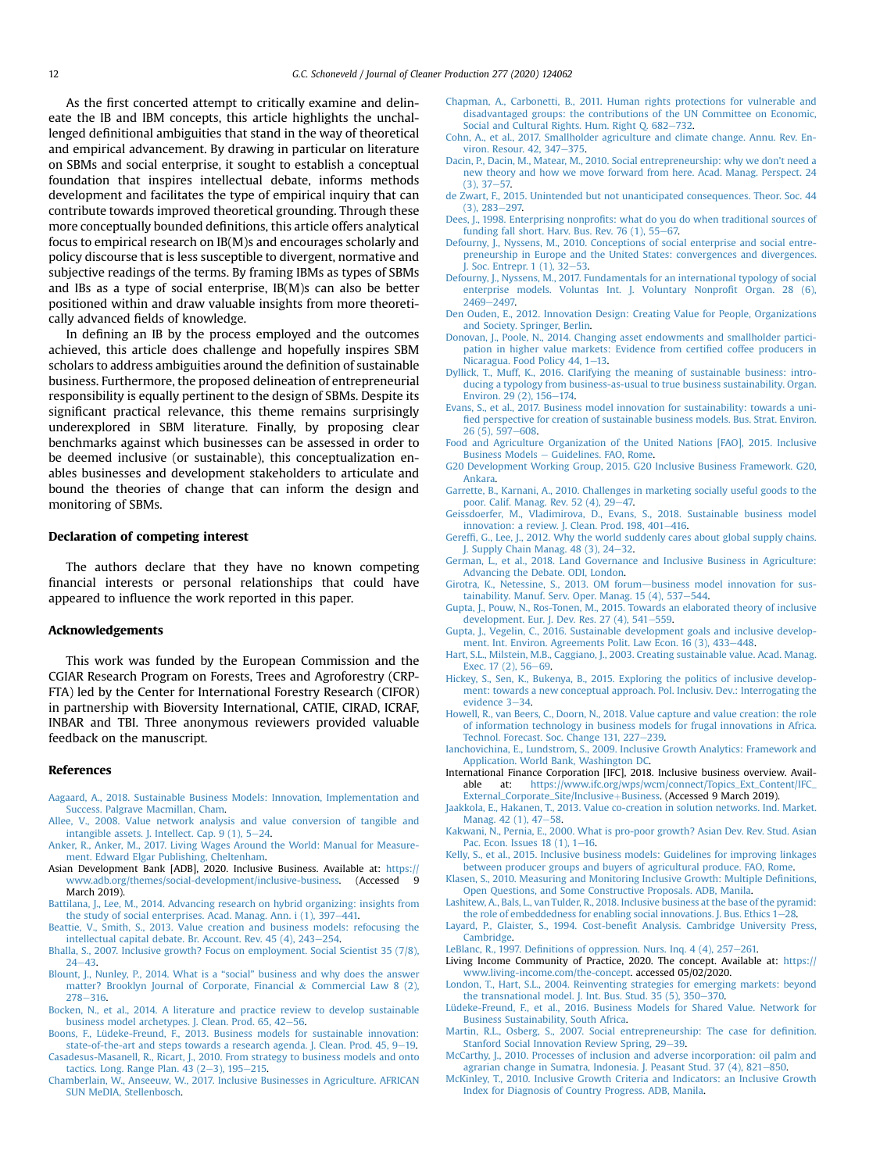As the first concerted attempt to critically examine and delineate the IB and IBM concepts, this article highlights the unchallenged definitional ambiguities that stand in the way of theoretical and empirical advancement. By drawing in particular on literature on SBMs and social enterprise, it sought to establish a conceptual foundation that inspires intellectual debate, informs methods development and facilitates the type of empirical inquiry that can contribute towards improved theoretical grounding. Through these more conceptually bounded definitions, this article offers analytical focus to empirical research on IB(M)s and encourages scholarly and policy discourse that is less susceptible to divergent, normative and subjective readings of the terms. By framing IBMs as types of SBMs and IBs as a type of social enterprise, IB(M)s can also be better positioned within and draw valuable insights from more theoretically advanced fields of knowledge.

In defining an IB by the process employed and the outcomes achieved, this article does challenge and hopefully inspires SBM scholars to address ambiguities around the definition of sustainable business. Furthermore, the proposed delineation of entrepreneurial responsibility is equally pertinent to the design of SBMs. Despite its significant practical relevance, this theme remains surprisingly underexplored in SBM literature. Finally, by proposing clear benchmarks against which businesses can be assessed in order to be deemed inclusive (or sustainable), this conceptualization enables businesses and development stakeholders to articulate and bound the theories of change that can inform the design and monitoring of SBMs.

# Declaration of competing interest

The authors declare that they have no known competing financial interests or personal relationships that could have appeared to influence the work reported in this paper.

# Acknowledgements

This work was funded by the European Commission and the CGIAR Research Program on Forests, Trees and Agroforestry (CRP-FTA) led by the Center for International Forestry Research (CIFOR) in partnership with Bioversity International, CATIE, CIRAD, ICRAF, INBAR and TBI. Three anonymous reviewers provided valuable feedback on the manuscript.

## References

- <span id="page-11-18"></span>[Aagaard, A., 2018. Sustainable Business Models: Innovation, Implementation and](http://refhub.elsevier.com/S0959-6526(20)34107-X/sref1) [Success. Palgrave Macmillan, Cham.](http://refhub.elsevier.com/S0959-6526(20)34107-X/sref1)
- <span id="page-11-24"></span>[Allee, V., 2008. Value network analysis and value conversion of tangible and](http://refhub.elsevier.com/S0959-6526(20)34107-X/sref2) intangible assets. J. Intellect. Cap.  $9(1)$ , 5-[24.](http://refhub.elsevier.com/S0959-6526(20)34107-X/sref2)
- <span id="page-11-34"></span>[Anker, R., Anker, M., 2017. Living Wages Around the World: Manual for Measure](http://refhub.elsevier.com/S0959-6526(20)34107-X/sref3)[ment. Edward Elgar Publishing, Cheltenham](http://refhub.elsevier.com/S0959-6526(20)34107-X/sref3).
- <span id="page-11-2"></span>Asian Development Bank [ADB], 2020. Inclusive Business. Available at: [https://](https://www.adb.org/themes/social-development/inclusive-business) [www.adb.org/themes/social-development/inclusive-business](https://www.adb.org/themes/social-development/inclusive-business). (Accessed 9 March 2019).
- <span id="page-11-43"></span>[Battilana, J., Lee, M., 2014. Advancing research on hybrid organizing: insights from](http://refhub.elsevier.com/S0959-6526(20)34107-X/sref5)
- <span id="page-11-14"></span>the study of social enterprises. Acad. Manag. Ann. i  $(1)$ , 397 $-441$ .<br>[Beattie, V., Smith, S., 2013. Value creation and business models: refocusing the](http://refhub.elsevier.com/S0959-6526(20)34107-X/sref6) intellectual capital debate. Br. Account. Rev.  $45$  (4),  $243-254$ .
- <span id="page-11-7"></span>[Bhalla, S., 2007. Inclusive growth? Focus on employment. Social Scientist 35 \(7/8\),](http://refhub.elsevier.com/S0959-6526(20)34107-X/sref7)  $24 - 43$  $24 - 43$
- <span id="page-11-41"></span>[Blount, J., Nunley, P., 2014. What is a](http://refhub.elsevier.com/S0959-6526(20)34107-X/sref8) "social" business and why does the answer [matter? Brooklyn Journal of Corporate, Financial](http://refhub.elsevier.com/S0959-6526(20)34107-X/sref8) & [Commercial Law 8 \(2\),](http://refhub.elsevier.com/S0959-6526(20)34107-X/sref8)  $278 - 316$  $278 - 316$
- <span id="page-11-17"></span>[Bocken, N., et al., 2014. A literature and practice review to develop sustainable](http://refhub.elsevier.com/S0959-6526(20)34107-X/sref9) [business model archetypes. J. Clean. Prod. 65, 42](http://refhub.elsevier.com/S0959-6526(20)34107-X/sref9)-[56](http://refhub.elsevier.com/S0959-6526(20)34107-X/sref9).
- <span id="page-11-20"></span>[Boons, F., Lüdeke-Freund, F., 2013. Business models for sustainable innovation:](http://refhub.elsevier.com/S0959-6526(20)34107-X/sref10) [state-of-the-art and steps towards a research agenda. J. Clean. Prod. 45, 9](http://refhub.elsevier.com/S0959-6526(20)34107-X/sref10)-[19](http://refhub.elsevier.com/S0959-6526(20)34107-X/sref10).
- <span id="page-11-13"></span>[Casadesus-Masanell, R., Ricart, J., 2010. From strategy to business models and onto](http://refhub.elsevier.com/S0959-6526(20)34107-X/sref11) tactics. Long. Range Plan.  $43$  (2-[3\), 195](http://refhub.elsevier.com/S0959-6526(20)34107-X/sref11)-[215.](http://refhub.elsevier.com/S0959-6526(20)34107-X/sref11)
- <span id="page-11-22"></span>[Chamberlain, W., Anseeuw, W., 2017. Inclusive Businesses in Agriculture. AFRICAN](http://refhub.elsevier.com/S0959-6526(20)34107-X/sref12) [SUN MeDIA, Stellenbosch](http://refhub.elsevier.com/S0959-6526(20)34107-X/sref12).
- <span id="page-11-32"></span>[Chapman, A., Carbonetti, B., 2011. Human rights protections for vulnerable and](http://refhub.elsevier.com/S0959-6526(20)34107-X/sref13) [disadvantaged groups: the contributions of the UN Committee on Economic,](http://refhub.elsevier.com/S0959-6526(20)34107-X/sref13) Social and Cultural Rights. Hum. Right O. 682-[732.](http://refhub.elsevier.com/S0959-6526(20)34107-X/sref13)
- <span id="page-11-49"></span>[Cohn, A., et al., 2017. Smallholder agriculture and climate change. Annu. Rev. En](http://refhub.elsevier.com/S0959-6526(20)34107-X/sref14)[viron. Resour. 42, 347](http://refhub.elsevier.com/S0959-6526(20)34107-X/sref14)-[375.](http://refhub.elsevier.com/S0959-6526(20)34107-X/sref14)
- <span id="page-11-37"></span>[Dacin, P., Dacin, M., Matear, M., 2010. Social entrepreneurship: why we don](http://refhub.elsevier.com/S0959-6526(20)34107-X/sref15)'t need a [new theory and how we move forward from here. Acad. Manag. Perspect. 24](http://refhub.elsevier.com/S0959-6526(20)34107-X/sref15)  $(3)$ ,  $37-57$ .
- <span id="page-11-30"></span>[de Zwart, F., 2015. Unintended but not unanticipated consequences. Theor. Soc. 44](http://refhub.elsevier.com/S0959-6526(20)34107-X/sref16)  $(3), 283 - 297.$  $(3), 283 - 297.$  $(3), 283 - 297.$
- <span id="page-11-46"></span>Dees, J., 1998. Enterprising nonprofi[ts: what do you do when traditional sources of](http://refhub.elsevier.com/S0959-6526(20)34107-X/sref17) funding fall short. Harv. Bus. Rev. 76  $(1)$ , 55-[67.](http://refhub.elsevier.com/S0959-6526(20)34107-X/sref17)
- <span id="page-11-38"></span>[Defourny, J., Nyssens, M., 2010. Conceptions of social enterprise and social entre](http://refhub.elsevier.com/S0959-6526(20)34107-X/sref18)[preneurship in Europe and the United States: convergences and divergences.](http://refhub.elsevier.com/S0959-6526(20)34107-X/sref18) J. Soc. Entrepr. 1  $(1)$ ,  $32-53$ .
- <span id="page-11-39"></span>[Defourny, J., Nyssens, M., 2017. Fundamentals for an international typology of social](http://refhub.elsevier.com/S0959-6526(20)34107-X/sref19) [enterprise models. Voluntas Int. J. Voluntary Nonpro](http://refhub.elsevier.com/S0959-6526(20)34107-X/sref19)fit Organ. 28 (6), [2469](http://refhub.elsevier.com/S0959-6526(20)34107-X/sref19)-[2497.](http://refhub.elsevier.com/S0959-6526(20)34107-X/sref19)
- <span id="page-11-25"></span>[Den Ouden, E., 2012. Innovation Design: Creating Value for People, Organizations](http://refhub.elsevier.com/S0959-6526(20)34107-X/sref20) [and Society. Springer, Berlin](http://refhub.elsevier.com/S0959-6526(20)34107-X/sref20).
- <span id="page-11-28"></span>[Donovan, J., Poole, N., 2014. Changing asset endowments and smallholder partici](http://refhub.elsevier.com/S0959-6526(20)34107-X/optC9dSz6slIw)[pation in higher value markets: Evidence from certi](http://refhub.elsevier.com/S0959-6526(20)34107-X/optC9dSz6slIw)fied coffee producers in [Nicaragua. Food Policy 44, 1](http://refhub.elsevier.com/S0959-6526(20)34107-X/optC9dSz6slIw)-[13.](http://refhub.elsevier.com/S0959-6526(20)34107-X/optC9dSz6slIw)
- <span id="page-11-36"></span>[Dyllick, T., Muff, K., 2016. Clarifying the meaning of sustainable business: intro](http://refhub.elsevier.com/S0959-6526(20)34107-X/sref21)[ducing a typology from business-as-usual to true business sustainability. Organ.](http://refhub.elsevier.com/S0959-6526(20)34107-X/sref21) Environ. 29 (2),  $156 - 174$ .
- <span id="page-11-16"></span>[Evans, S., et al., 2017. Business model innovation for sustainability: towards a uni](http://refhub.elsevier.com/S0959-6526(20)34107-X/sref22)fi[ed perspective for creation of sustainable business models. Bus. Strat. Environ.](http://refhub.elsevier.com/S0959-6526(20)34107-X/sref22)  $26(5)$ , 597-[608](http://refhub.elsevier.com/S0959-6526(20)34107-X/sref22).
- <span id="page-11-12"></span>[Food and Agriculture Organization of the United Nations \[FAO\], 2015. Inclusive](http://refhub.elsevier.com/S0959-6526(20)34107-X/sref23) [Business Models](http://refhub.elsevier.com/S0959-6526(20)34107-X/sref23) - [Guidelines. FAO, Rome](http://refhub.elsevier.com/S0959-6526(20)34107-X/sref23).
- <span id="page-11-11"></span>[G20 Development Working Group, 2015. G20 Inclusive Business Framework. G20,](http://refhub.elsevier.com/S0959-6526(20)34107-X/sref24) [Ankara](http://refhub.elsevier.com/S0959-6526(20)34107-X/sref24).
- <span id="page-11-29"></span>[Garrette, B., Karnani, A., 2010. Challenges in marketing socially useful goods to the](http://refhub.elsevier.com/S0959-6526(20)34107-X/sref25) [poor. Calif. Manag. Rev. 52 \(4\), 29](http://refhub.elsevier.com/S0959-6526(20)34107-X/sref25)-[47.](http://refhub.elsevier.com/S0959-6526(20)34107-X/sref25)
- <span id="page-11-15"></span>[Geissdoerfer, M., Vladimirova, D., Evans, S., 2018. Sustainable business model](http://refhub.elsevier.com/S0959-6526(20)34107-X/sref26) [innovation: a review. J. Clean. Prod. 198, 401](http://refhub.elsevier.com/S0959-6526(20)34107-X/sref26)-[416.](http://refhub.elsevier.com/S0959-6526(20)34107-X/sref26)
- <span id="page-11-35"></span>Gereffi[, G., Lee, J., 2012. Why the world suddenly cares about global supply chains.](http://refhub.elsevier.com/S0959-6526(20)34107-X/sref27) [J. Supply Chain Manag. 48 \(3\), 24](http://refhub.elsevier.com/S0959-6526(20)34107-X/sref27)-[32](http://refhub.elsevier.com/S0959-6526(20)34107-X/sref27).
- <span id="page-11-47"></span>[German, L., et al., 2018. Land Governance and Inclusive Business in Agriculture:](http://refhub.elsevier.com/S0959-6526(20)34107-X/sref28) [Advancing the Debate. ODI, London](http://refhub.elsevier.com/S0959-6526(20)34107-X/sref28).
- <span id="page-11-21"></span>[Girotra, K., Netessine, S., 2013. OM forum](http://refhub.elsevier.com/S0959-6526(20)34107-X/sref29)-[business model innovation for sus](http://refhub.elsevier.com/S0959-6526(20)34107-X/sref29)[tainability. Manuf. Serv. Oper. Manag. 15 \(4\), 537](http://refhub.elsevier.com/S0959-6526(20)34107-X/sref29)-[544](http://refhub.elsevier.com/S0959-6526(20)34107-X/sref29).
- <span id="page-11-10"></span>[Gupta, J., Pouw, N., Ros-Tonen, M., 2015. Towards an elaborated theory of inclusive](http://refhub.elsevier.com/S0959-6526(20)34107-X/sref30) [development. Eur. J. Dev. Res. 27 \(4\), 541](http://refhub.elsevier.com/S0959-6526(20)34107-X/sref30)-[559](http://refhub.elsevier.com/S0959-6526(20)34107-X/sref30).
- <span id="page-11-3"></span>[Gupta, J., Vegelin, C., 2016. Sustainable development goals and inclusive develop](http://refhub.elsevier.com/S0959-6526(20)34107-X/sref31)[ment. Int. Environ. Agreements Polit. Law Econ. 16 \(3\), 433](http://refhub.elsevier.com/S0959-6526(20)34107-X/sref31)-[448.](http://refhub.elsevier.com/S0959-6526(20)34107-X/sref31)
- <span id="page-11-19"></span>[Hart, S.L., Milstein, M.B., Caggiano, J., 2003. Creating sustainable value. Acad. Manag.](http://refhub.elsevier.com/S0959-6526(20)34107-X/sref33) [Exec. 17 \(2\), 56](http://refhub.elsevier.com/S0959-6526(20)34107-X/sref33)-[69.](http://refhub.elsevier.com/S0959-6526(20)34107-X/sref33)
- <span id="page-11-9"></span>[Hickey, S., Sen, K., Bukenya, B., 2015. Exploring the politics of inclusive develop](http://refhub.elsevier.com/S0959-6526(20)34107-X/sref34)[ment: towards a new conceptual approach. Pol. Inclusiv. Dev.: Interrogating the](http://refhub.elsevier.com/S0959-6526(20)34107-X/sref34) [evidence 3](http://refhub.elsevier.com/S0959-6526(20)34107-X/sref34)-[34](http://refhub.elsevier.com/S0959-6526(20)34107-X/sref34).
- <span id="page-11-42"></span>[Howell, R., van Beers, C., Doorn, N., 2018. Value capture and value creation: the role](http://refhub.elsevier.com/S0959-6526(20)34107-X/sref35) [of information technology in business models for frugal innovations in Africa.](http://refhub.elsevier.com/S0959-6526(20)34107-X/sref35) [Technol. Forecast. Soc. Change 131, 227](http://refhub.elsevier.com/S0959-6526(20)34107-X/sref35)-[239](http://refhub.elsevier.com/S0959-6526(20)34107-X/sref35).
- <span id="page-11-4"></span>[Ianchovichina, E., Lundstrom, S., 2009. Inclusive Growth Analytics: Framework and](http://refhub.elsevier.com/S0959-6526(20)34107-X/sref36) [Application. World Bank, Washington DC](http://refhub.elsevier.com/S0959-6526(20)34107-X/sref36).
- <span id="page-11-1"></span>International Finance Corporation [IFC], 2018. Inclusive business overview. Available at: [https://www.ifc.org/wps/wcm/connect/Topics\\_Ext\\_Content/IFC\\_](https://www.ifc.org/wps/wcm/connect/Topics_Ext_Content/IFC_External_Corporate_Site/Inclusive+Business) [External\\_Corporate\\_Site/Inclusive](https://www.ifc.org/wps/wcm/connect/Topics_Ext_Content/IFC_External_Corporate_Site/Inclusive+Business)+[Business.](https://www.ifc.org/wps/wcm/connect/Topics_Ext_Content/IFC_External_Corporate_Site/Inclusive+Business) (Accessed 9 March 2019).
- <span id="page-11-48"></span>[Jaakkola, E., Hakanen, T., 2013. Value co-creation in solution networks. Ind. Market.](http://refhub.elsevier.com/S0959-6526(20)34107-X/sref38) [Manag. 42 \(1\), 47](http://refhub.elsevier.com/S0959-6526(20)34107-X/sref38)-[58](http://refhub.elsevier.com/S0959-6526(20)34107-X/sref38).
- <span id="page-11-6"></span>[Kakwani, N., Pernia, E., 2000. What is pro-poor growth? Asian Dev. Rev. Stud. Asian](http://refhub.elsevier.com/S0959-6526(20)34107-X/sref39) Pac. Econ. Issues  $18(1)$ ,  $1-16$ .
- <span id="page-11-26"></span>[Kelly, S., et al., 2015. Inclusive business models: Guidelines for improving linkages](http://refhub.elsevier.com/S0959-6526(20)34107-X/opt0rABIOqQUE) [between producer groups and buyers of agricultural produce. FAO, Rome.](http://refhub.elsevier.com/S0959-6526(20)34107-X/opt0rABIOqQUE)
- <span id="page-11-5"></span>[Klasen, S., 2010. Measuring and Monitoring Inclusive Growth: Multiple De](http://refhub.elsevier.com/S0959-6526(20)34107-X/sref40)finitions, [Open Questions, and Some Constructive Proposals. ADB, Manila](http://refhub.elsevier.com/S0959-6526(20)34107-X/sref40).
- <span id="page-11-44"></span>[Lashitew, A., Bals, L., van Tulder, R., 2018. Inclusive business at the base of the pyramid:](http://refhub.elsevier.com/S0959-6526(20)34107-X/sref41) the role of embeddedness for enabling social innovations. J. Bus. Ethics  $1-28$ .
- <span id="page-11-45"></span>Layard, P., Glaister, S., 1994. Cost-benefi[t Analysis. Cambridge University Press,](http://refhub.elsevier.com/S0959-6526(20)34107-X/sref42) **Cambridge**
- <span id="page-11-31"></span>LeBlanc, R., 1997. Definitions of oppression. Nurs. Inq.  $4(4)$ , 257-[261.](http://refhub.elsevier.com/S0959-6526(20)34107-X/sref43)
- <span id="page-11-33"></span>Living Income Community of Practice, 2020. The concept. Available at: [https://](https://www.living-income.com/the-concept) [www.living-income.com/the-concept.](https://www.living-income.com/the-concept) accessed 05/02/2020.
- <span id="page-11-23"></span>[London, T., Hart, S.L., 2004. Reinventing strategies for emerging markets: beyond](http://refhub.elsevier.com/S0959-6526(20)34107-X/sref45) the transnational model. J. Int. Bus. Stud.  $35$  (5),  $350-370$  $350-370$ .
- <span id="page-11-27"></span>[Lüdeke-Freund, F., et al., 2016. Business Models for Shared Value. Network for](http://refhub.elsevier.com/S0959-6526(20)34107-X/sref46) [Business Sustainability, South Africa.](http://refhub.elsevier.com/S0959-6526(20)34107-X/sref46)
- <span id="page-11-0"></span>[Martin, R.L., Osberg, S., 2007. Social entrepreneurship: The case for de](http://refhub.elsevier.com/S0959-6526(20)34107-X/optZtyxyRWnbQ)finition. [Stanford Social Innovation Review Spring, 29](http://refhub.elsevier.com/S0959-6526(20)34107-X/optZtyxyRWnbQ)-[39.](http://refhub.elsevier.com/S0959-6526(20)34107-X/optZtyxyRWnbQ)
- <span id="page-11-40"></span>[McCarthy, J., 2010. Processes of inclusion and adverse incorporation: oil palm and](http://refhub.elsevier.com/S0959-6526(20)34107-X/sref47) [agrarian change in Sumatra, Indonesia. J. Peasant Stud. 37 \(4\), 821](http://refhub.elsevier.com/S0959-6526(20)34107-X/sref47)-[850](http://refhub.elsevier.com/S0959-6526(20)34107-X/sref47).
- <span id="page-11-8"></span>[McKinley, T., 2010. Inclusive Growth Criteria and Indicators: an Inclusive Growth](http://refhub.elsevier.com/S0959-6526(20)34107-X/sref48) [Index for Diagnosis of Country Progress. ADB, Manila](http://refhub.elsevier.com/S0959-6526(20)34107-X/sref48).